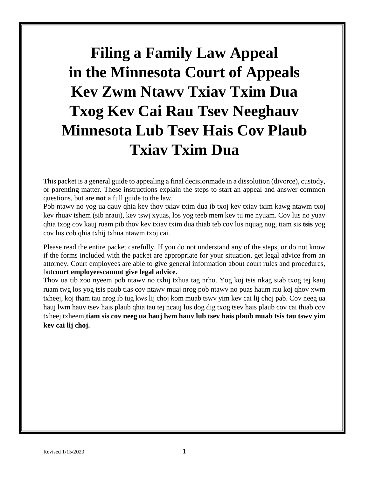# **Filing a Family Law Appeal in the Minnesota Court of Appeals Kev Zwm Ntawv Txiav Txim Dua Txog Kev Cai Rau Tsev Neeghauv Minnesota Lub Tsev Hais Cov Plaub Txiav Txim Dua**

This packet is a general guide to appealing a final decisionmade in a dissolution (divorce), custody, or parenting matter. These instructions explain the steps to start an appeal and answer common questions, but are **not** a full guide to the law.

Pob ntawv no yog ua qauv qhia kev thov txiav txim dua ib txoj kev txiav txim kawg ntawm txoj kev rhuav tshem (sib nrauj), kev tswj xyuas, los yog teeb mem kev tu me nyuam. Cov lus no yuav qhia txog cov kauj ruam pib thov kev txiav txim dua thiab teb cov lus nquag nug, tiam sis **tsis** yog cov lus cob qhia txhij txhua ntawm txoj cai.

Please read the entire packet carefully. If you do not understand any of the steps, or do not know if the forms included with the packet are appropriate for your situation, get legal advice from an attorney. Court employees are able to give general information about court rules and procedures, but**court employeescannot give legal advice.**

Thov ua tib zoo nyeem pob ntawv no txhij txhua tag nrho. Yog koj tsis nkag siab txog tej kauj ruam twg los yog tsis paub tias cov ntawv muaj nrog pob ntawv no puas haum rau koj qhov xwm txheej, koj tham tau nrog ib tug kws lij choj kom muab tswv yim kev cai lij choj pab. Cov neeg ua hauj lwm hauv tsev hais plaub qhia tau tej ncauj lus dog dig txog tsev hais plaub cov cai thiab cov txheej txheem,**tiam sis cov neeg ua hauj lwm hauv lub tsev hais plaub muab tsis tau tswv yim kev cai lij choj.**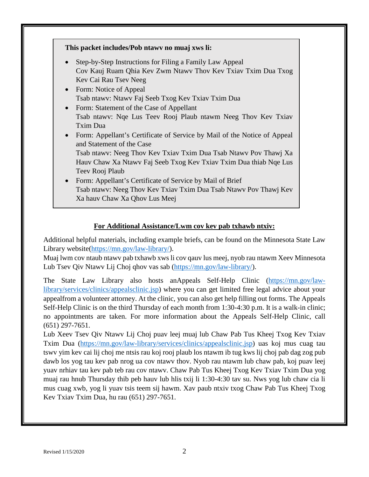#### **This packet includes/Pob ntawv no muaj xws li:**

- Step-by-Step Instructions for Filing a Family Law Appeal Cov Kauj Ruam Qhia Kev Zwm Ntawv Thov Kev Txiav Txim Dua Txog Kev Cai Rau Tsev Neeg
- Form: Notice of Appeal Tsab ntawv: Ntawv Faj Seeb Txog Kev Txiav Txim Dua
- Form: Statement of the Case of Appellant Tsab ntawv: Nqe Lus Teev Rooj Plaub ntawm Neeg Thov Kev Txiav Txim Dua
- Form: Appellant's Certificate of Service by Mail of the Notice of Appeal and Statement of the Case

Tsab ntawv: Neeg Thov Kev Txiav Txim Dua Tsab Ntawv Pov Thawj Xa Hauv Chaw Xa Ntawv Faj Seeb Txog Kev Txiav Txim Dua thiab Nqe Lus Teev Rooj Plaub

• Form: Appellant's Certificate of Service by Mail of Brief Tsab ntawv: Neeg Thov Kev Txiav Txim Dua Tsab Ntawv Pov Thawj Kev Xa hauv Chaw Xa Qhov Lus Meej

#### **For Additional Assistance/Lwm cov kev pab txhawb ntxiv:**

Additional helpful materials, including example briefs, can be found on the Minnesota State Law Library website[\(https://mn.gov/law-library/\)](https://mn.gov/law-library/).

Muaj lwm cov ntaub ntawv pab txhawb xws li cov qauv lus meej, nyob rau ntawm Xeev Minnesota Lub Tsev Qiv Ntawv Lij Choj qhov vas sab [\(https://mn.gov/law-library/\)](https://mn.gov/law-library/).

The State Law Library also hosts anAppeals Self-Help Clinic [\(https://mn.gov/law](https://mn.gov/law-library/services/clinics/appealsclinic.jsp)[library/services/clinics/appealsclinic.jsp\)](https://mn.gov/law-library/services/clinics/appealsclinic.jsp) where you can get limited free legal advice about your appealfrom a volunteer attorney. At the clinic, you can also get help filling out forms. The Appeals Self-Help Clinic is on the third Thursday of each month from 1:30-4:30 p.m. It is a walk-in clinic; no appointments are taken. For more information about the Appeals Self-Help Clinic, call (651) 297-7651.

Lub Xeev Tsev Qiv Ntawv Lij Choj puav leej muaj lub Chaw Pab Tus Kheej Txog Kev Txiav Txim Dua [\(https://mn.gov/law-library/services/clinics/appealsclinic.jsp\)](https://mn.gov/law-library/services/clinics/appealsclinic.jsp) uas koj mus cuag tau tswv yim kev cai lij choj me ntsis rau koj rooj plaub los ntawm ib tug kws lij choj pab dag zog pub dawb los yog tau kev pab nrog ua cov ntawv thov. Nyob rau ntawm lub chaw pab, koj puav leej yuav nrhiav tau kev pab teb rau cov ntawv. Chaw Pab Tus Kheej Txog Kev Txiav Txim Dua yog muaj rau hnub Thursday thib peb hauv lub hlis txij li 1:30-4:30 tav su. Nws yog lub chaw cia li mus cuag xwb, yog li yuav tsis teem sij hawm. Xav paub ntxiv txog Chaw Pab Tus Kheej Txog Kev Txiav Txim Dua, hu rau (651) 297-7651.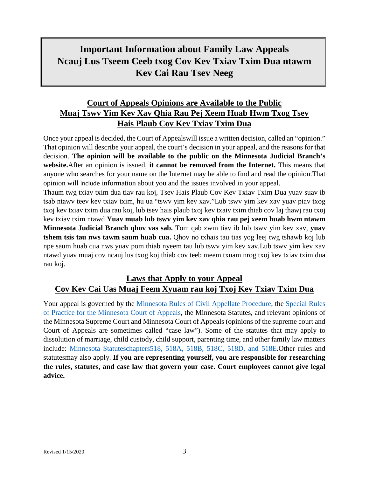# **Important Information about Family Law Appeals Ncauj Lus Tseem Ceeb txog Cov Kev Txiav Txim Dua ntawm Kev Cai Rau Tsev Neeg**

# **Court of Appeals Opinions are Available to the Public Muaj Tswv Yim Kev Xav Qhia Rau Pej Xeem Huab Hwm Txog Tsev Hais Plaub Cov Kev Txiav Txim Dua**

Once your appeal is decided, the Court of Appealswill issue a written decision, called an "opinion." That opinion will describe your appeal, the court's decision in your appeal, and the reasons for that decision. **The opinion will be available to the public on the Minnesota Judicial Branch's website.**After an opinion is issued, **it cannot be removed from the Internet.** This means that anyone who searches for your name on the Internet may be able to find and read the opinion.That opinion will include information about you and the issues involved in your appeal.

Thaum twg txiav txim dua tiav rau koj, Tsev Hais Plaub Cov Kev Txiav Txim Dua yuav suav ib tsab ntawv teev kev txiav txim, hu ua "tswv yim kev xav."Lub tswv yim kev xav yuav piav txog txoj kev txiav txim dua rau koj, lub tsev hais plaub txoj kev txaiv txim thiab cov laj thawj rau txoj kev txiav txim ntawd **Yuav muab lub tswv yim kev xav qhia rau pej xeem huab hwm ntawm Minnesota Judicial Branch qhov vas sab.** Tom qab zwm tiav ib lub tswv yim kev xav, **yuav tshem tsis tau nws tawm saum huab cua.** Qhov no txhais tau tias yog leej twg tshawb koj lub npe saum huab cua nws yuav pom thiab nyeem tau lub tswv yim kev xav.Lub tswv yim kev xav ntawd yuav muaj cov ncauj lus txog koj thiab cov teeb meem txuam nrog txoj kev txiav txim dua rau koj.

## **Laws that Apply to your Appeal Cov Kev Cai Uas Muaj Feem Xyuam rau koj Txoj Kev Txiav Txim Dua**

Your appeal is governed by the [Minnesota Rules of Civil Appellate Procedure,](https://www.revisor.mn.gov/court_rules/ap/) the [Special Rules](http://www.mncourts.gov/mncourtsgov/media/Appellate/Court%20of%20Appeals/Special_Rules_of_Practice_COA.pdf)  [of Practice for the Minnesota Court of Appeals,](http://www.mncourts.gov/mncourtsgov/media/Appellate/Court%20of%20Appeals/Special_Rules_of_Practice_COA.pdf) the Minnesota Statutes, and relevant opinions of the Minnesota Supreme Court and Minnesota Court of Appeals (opinions of the supreme court and Court of Appeals are sometimes called "case law"). Some of the statutes that may apply to dissolution of marriage, child custody, child support, parenting time, and other family law matters include: [Minnesota Statuteschapters518, 518A, 518B, 518C, 518D, and 518E.](https://www.revisor.mn.gov/statutes/part/DOMESTIC+RELATIONS)Other rules and statutesmay also apply. **If you are representing yourself, you are responsible for researching the rules, statutes, and case law that govern your case. Court employees cannot give legal advice.**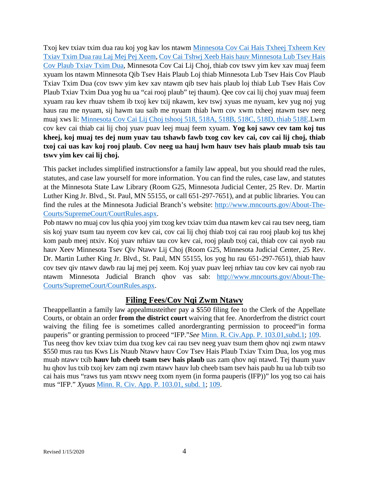Txoj kev txiav txim dua rau koj yog kav los ntawm Minnesota Cov Cai Hais Txheej Txheem Kev Txiav Txim Dua rau Laj Mej Pej Xeem, [Cov Cai Tshwj Xeeb Hais hauv Minnesota Lub Tsev Hais](http://www.mncourts.gov/mncourtsgov/media/Appellate/Court%20of%20Appeals/Special_Rules_of_Practice_COA.pdf)  [Cov Plaub Txiav Txim Dua,](http://www.mncourts.gov/mncourtsgov/media/Appellate/Court%20of%20Appeals/Special_Rules_of_Practice_COA.pdf) Minnesota Cov Cai Lij Choj, thiab cov tswv yim kev xav muaj feem xyuam los ntawm Minnesota Qib Tsev Hais Plaub Loj thiab Minnesota Lub Tsev Hais Cov Plaub Txiav Txim Dua (cov tswv yim kev xav ntawm qib tsev hais plaub loj thiab Lub Tsev Hais Cov Plaub Txiav Txim Dua yog hu ua "cai rooj plaub" tej thaum). Qee cov cai lij choj yuav muaj feem xyuam rau kev rhuav tshem ib txoj kev txij nkawm, kev tswj xyuas me nyuam, kev yug noj yug haus rau me nyuam, sij hawm tau saib me nyuam thiab lwm cov xwm txheej ntawm tsev neeg muaj xws li: [Minnesota Cov Cai Lij Choj tshooj 518, 518A, 518B, 518C, 518D, thiab 518E.](https://www.revisor.mn.gov/statutes/part/DOMESTIC+RELATIONS)Lwm cov kev cai thiab cai lij choj yuav puav leej muaj feem xyuam. **Yog koj sawv cev tam koj tus kheej, koj muaj tes dej num yuav tau tshawb fawb txog cov kev cai, cov cai lij choj, thiab txoj cai uas kav koj rooj plaub. Cov neeg ua hauj lwm hauv tsev hais plaub muab tsis tau tswv yim kev cai lij choj.**

This packet includes simplified instructionsfor a family law appeal, but you should read the rules, statutes, and case law yourself for more information. You can find the rules, case law, and statutes at the Minnesota State Law Library (Room G25, Minnesota Judicial Center, 25 Rev. Dr. Martin Luther King Jr. Blvd., St. Paul, MN 55155, or call 651-297-7651), and at public libraries. You can find the rules at the Minnesota Judicial Branch's website: [http://www.mncourts.gov/About-The-](http://www.mncourts.gov/About-The-Courts/SupremeCourt/CourtRules.aspx)[Courts/SupremeCourt/CourtRules.aspx.](http://www.mncourts.gov/About-The-Courts/SupremeCourt/CourtRules.aspx)

Pob ntawv no muaj cov lus qhia yooj yim txog kev txiav txim dua ntawm kev cai rau tsev neeg, tiam sis koj yuav tsum tau nyeem cov kev cai, cov cai lij choj thiab txoj cai rau rooj plaub koj tus khej kom paub meej ntxiv. Koj yuav nrhiav tau cov kev cai, rooj plaub txoj cai, thiab cov cai nyob rau hauv Xeev Minnesota Tsev Qiv Ntawv Lij Choj (Room G25, Minnesota Judicial Center, 25 Rev. Dr. Martin Luther King Jr. Blvd., St. Paul, MN 55155, los yog hu rau 651-297-7651), thiab hauv cov tsev qiv ntawv dawb rau laj mej pej xeem. Koj yuav puav leej nrhiav tau cov kev cai nyob rau ntawm Minnesota Judicial Branch qhov vas sab: [http://www.mncourts.gov/About-The-](http://www.mncourts.gov/About-The-Courts/SupremeCourt/CourtRules.aspx)[Courts/SupremeCourt/CourtRules.aspx.](http://www.mncourts.gov/About-The-Courts/SupremeCourt/CourtRules.aspx)

## **Filing Fees/Cov Nqi Zwm Ntawv**

Theappellantin a family law appealmusteither pay a \$550 filing fee to the Clerk of the Appellate Courts, or obtain an order **from the district court** waiving that fee. Anorderfrom the district court waiving the filing fee is sometimes called anordergranting permission to proceed"in forma pauperis" or granting permission to proceed "IFP."*See* [Minn. R. Civ.App. P.](https://www.revisor.mn.gov/court_rules/ap/subtype/rcap/id/103/#103.01) 103.01,subd.1; [109.](https://www.revisor.mn.gov/court_rules/ap/subtype/rcap/id/109/) Tus neeg thov kev txiav txim dua txog kev cai rau tsev neeg yuav tsum them qhov nqi zwm ntawv \$550 mus rau tus Kws Lis Ntaub Ntawv hauv Cov Tsev Hais Plaub Txiav Txim Dua, los yog mus muab ntawv txib **hauv lub cheeb tsam tsev hais plaub** uas zam qhov nqi ntawd. Tej thaum yuav hu qhov lus txib txoj kev zam nqi zwm ntawv hauv lub cheeb tsam tsev hais paub hu ua lub txib tso cai hais mus "raws tus yam ntxwv neeg txom nyem (in forma pauperis (IFP))" los yog tso cai hais mus "IFP." *Xyuas* [Minn. R. Civ. App. P. 103.01, subd. 1;](https://www.revisor.mn.gov/court_rules/ap/subtype/rcap/id/103/#103.01) [109.](https://www.revisor.mn.gov/court_rules/ap/subtype/rcap/id/109/)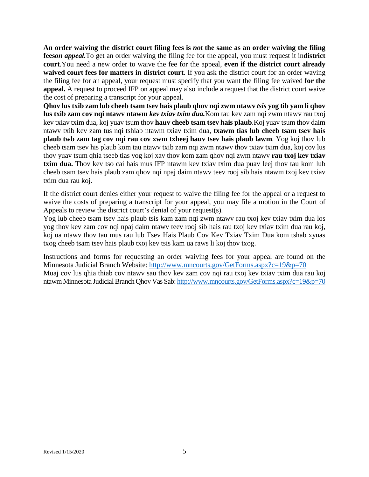**An order waiving the district court filing fees is** *not* **the same as an order waiving the filing fees***on appeal.*To get an order waiving the filing fee for the appeal, you must request it in**district court**.You need a new order to waive the fee for the appeal, **even if the district court already waived court fees for matters in district court**. If you ask the district court for an order waving the filing fee for an appeal, your request must specify that you want the filing fee waived **for the appeal.** A request to proceed IFP on appeal may also include a request that the district court waive the cost of preparing a transcript for your appeal.

**Qhov lus txib zam lub cheeb tsam tsev hais plaub qhov nqi zwm ntawv** *tsis* **yog tib yam li qhov lus txib zam cov nqi ntawv ntawm** *kev txiav txim dua.*Kom tau kev zam nqi zwm ntawv rau txoj kev txiav txim dua, koj yuav tsum thov **hauv cheeb tsam tsev hais plaub**.Koj yuav tsum thov daim ntawv txib kev zam tus nqi tshiab ntawm txiav txim dua, **txawm tias lub cheeb tsam tsev hais plaub twb zam tag cov nqi rau cov xwm txheej hauv tsev hais plaub lawm**. Yog koj thov lub cheeb tsam tsev his plaub kom tau ntawv txib zam nqi zwm ntawv thov txiav txim dua, koj cov lus thov yuav tsum qhia tseeb tias yog koj xav thov kom zam qhov nqi zwm ntawv **rau txoj kev txiav txim dua.** Thov kev tso cai hais mus IFP ntawm kev txiav txim dua puav leej thov tau kom lub cheeb tsam tsev hais plaub zam qhov nqi npaj daim ntawv teev rooj sib hais ntawm txoj kev txiav txim dua rau koj.

If the district court denies either your request to waive the filing fee for the appeal or a request to waive the costs of preparing a transcript for your appeal, you may file a motion in the Court of Appeals to review the district court's denial of your request(s).

Yog lub cheeb tsam tsev hais plaub tsis kam zam nqi zwm ntawv rau txoj kev txiav txim dua los yog thov kev zam cov nqi npaj daim ntawv teev rooj sib hais rau txoj kev txiav txim dua rau koj, koj ua ntawv thov tau mus rau lub Tsev Hais Plaub Cov Kev Txiav Txim Dua kom tshab xyuas txog cheeb tsam tsev hais plaub txoj kev tsis kam ua raws li koj thov txog.

Instructions and forms for requesting an order waiving fees for your appeal are found on the Minnesota Judicial Branch Website:<http://www.mncourts.gov/GetForms.aspx?c=19&p=70> Muaj cov lus qhia thiab cov ntawv sau thov kev zam cov nqi rau txoj kev txiav txim dua rau koj ntawm Minnesota Judicial Branch Qhov Vas Sab[: http://www.mncourts.gov/GetForms.aspx?c=19&p=70](http://www.mncourts.gov/GetForms.aspx?c=19&p=70)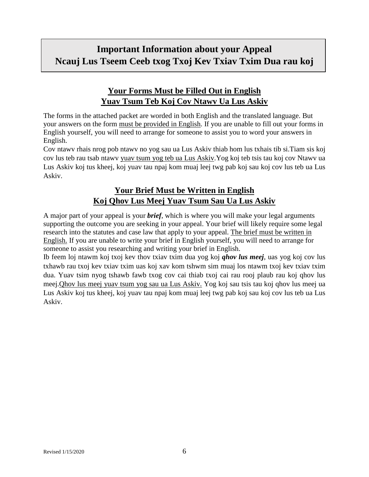# **Important Information about your Appeal Ncauj Lus Tseem Ceeb txog Txoj Kev Txiav Txim Dua rau koj**

# **Your Forms Must be Filled Out in English Yuav Tsum Teb Koj Cov Ntawv Ua Lus Askiv**

The forms in the attached packet are worded in both English and the translated language. But your answers on the form must be provided in English. If you are unable to fill out your forms in English yourself, you will need to arrange for someone to assist you to word your answers in English.

Cov ntawv rhais nrog pob ntawv no yog sau ua Lus Askiv thiab hom lus txhais tib si.Tiam sis koj cov lus teb rau tsab ntawv yuav tsum yog teb ua Lus Askiv.Yog koj teb tsis tau koj cov Ntawv ua Lus Askiv koj tus kheej, koj yuav tau npaj kom muaj leej twg pab koj sau koj cov lus teb ua Lus Askiv.

# **Your Brief Must be Written in English Koj Qhov Lus Meej Yuav Tsum Sau Ua Lus Askiv**

A major part of your appeal is your *brief*, which is where you will make your legal arguments supporting the outcome you are seeking in your appeal. Your brief will likely require some legal research into the statutes and case law that apply to your appeal. The brief must be written in English. If you are unable to write your brief in English yourself, you will need to arrange for someone to assist you researching and writing your brief in English.

Ib feem loj ntawm koj txoj kev thov txiav txim dua yog koj *qhov lus meej*, uas yog koj cov lus txhawb rau txoj kev txiav txim uas koj xav kom tshwm sim muaj los ntawm txoj kev txiav txim dua. Yuav tsim nyog tshawb fawb txog cov cai thiab txoj cai rau rooj plaub rau koj qhov lus meej.Qhov lus meej yuav tsum yog sau ua Lus Askiv. Yog koj sau tsis tau koj qhov lus meej ua Lus Askiv koj tus kheej, koj yuav tau npaj kom muaj leej twg pab koj sau koj cov lus teb ua Lus Askiv.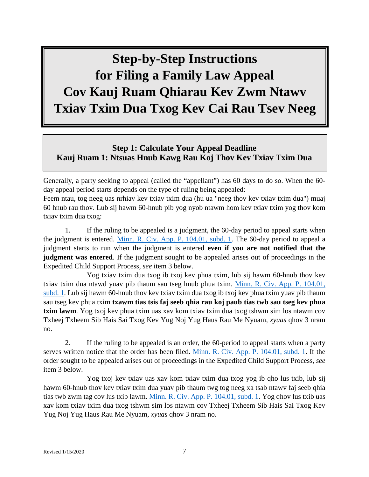# **Step-by-Step Instructions for Filing a Family Law Appeal Cov Kauj Ruam Qhiarau Kev Zwm Ntawv Txiav Txim Dua Txog Kev Cai Rau Tsev Neeg**

## **Step 1: Calculate Your Appeal Deadline Kauj Ruam 1: Ntsuas Hnub Kawg Rau Koj Thov Kev Txiav Txim Dua**

Generally, a party seeking to appeal (called the "appellant") has 60 days to do so. When the 60 day appeal period starts depends on the type of ruling being appealed:

Feem ntau, tog neeg uas nrhiav kev txiav txim dua (hu ua "neeg thov kev txiav txim dua") muaj 60 hnub rau thov. Lub sij hawm 60-hnub pib yog nyob ntawm hom kev txiav txim yog thov kom txiav txim dua txog:

1. If the ruling to be appealed is a judgment, the 60-day period to appeal starts when the judgment is entered. [Minn. R. Civ. App. P. 104.01, subd. 1.](https://www.revisor.mn.gov/court_rules/ap/subtype/rcap/id/104/#104.01) The 60-day period to appeal a judgment starts to run when the judgment is entered **even if you are not notified that the judgment was entered**. If the judgment sought to be appealed arises out of proceedings in the Expedited Child Support Process, *see* item 3 below.

Yog txiav txim dua txog ib txoj kev phua txim, lub sij hawm 60-hnub thov kev txiav txim dua ntawd yuav pib thaum sau tseg hnub phua txim. [Minn. R. Civ. App. P. 104.01,](https://www.revisor.mn.gov/court_rules/ap/subtype/rcap/id/104/#104.01)  [subd. 1.](https://www.revisor.mn.gov/court_rules/ap/subtype/rcap/id/104/#104.01) Lub sij hawm 60-hnub thov kev txiav txim dua txog ib txoj kev phua txim yuav pib thaum sau tseg kev phua txim **txawm tias tsis faj seeb qhia rau koj paub tias twb sau tseg kev phua txim lawm**. Yog txoj kev phua txim uas xav kom txiav txim dua txog tshwm sim los ntawm cov Txheej Txheem Sib Hais Sai Txog Kev Yug Noj Yug Haus Rau Me Nyuam, *xyuas* qhov 3 nram no.

2. If the ruling to be appealed is an order, the 60-period to appeal starts when a party serves written notice that the order has been filed. [Minn. R. Civ. App. P. 104.01,](https://www.revisor.mn.gov/court_rules/ap/subtype/rcap/id/104/#104.01) subd. 1. If the order sought to be appealed arises out of proceedings in the Expedited Child Support Process, *see* item 3 below.

Yog txoj kev txiav uas xav kom txiav txim dua txog yog ib qho lus txib, lub sij hawm 60-hnub thov kev txiav txim dua yuav pib thaum twg tog neeg xa tsab ntawv faj seeb qhia tias twb zwm tag cov lus txib lawm. [Minn. R. Civ. App. P. 104.01, subd. 1.](https://www.revisor.mn.gov/court_rules/ap/subtype/rcap/id/104/#104.01) Yog qhov lus txib uas xav kom txiav txim dua txog tshwm sim los ntawm cov Txheej Txheem Sib Hais Sai Txog Kev Yug Noj Yug Haus Rau Me Nyuam, *xyuas* qhov 3 nram no.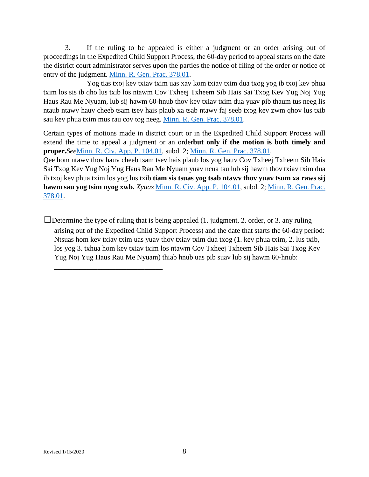3. If the ruling to be appealed is either a judgment or an order arising out of proceedings in the Expedited Child Support Process, the 60-day period to appeal starts on the date the district court administrator serves upon the parties the notice of filing of the order or notice of entry of the judgment. [Minn. R. Gen. Prac. 378.01.](https://www.revisor.mn.gov/court_rules/gp/id/378/)

Yog tias txoj kev txiav txim uas xav kom txiav txim dua txog yog ib txoj kev phua txim los sis ib qho lus txib los ntawm Cov Txheej Txheem Sib Hais Sai Txog Kev Yug Noj Yug Haus Rau Me Nyuam, lub sij hawm 60-hnub thov kev txiav txim dua yuav pib thaum tus neeg lis ntaub ntawv hauv cheeb tsam tsev hais plaub xa tsab ntawv faj seeb txog kev zwm qhov lus txib sau kev phua txim mus rau cov tog neeg. [Minn. R. Gen. Prac. 378.01.](https://www.revisor.mn.gov/court_rules/gp/id/378/)

Certain types of motions made in district court or in the Expedited Child Support Process will extend the time to appeal a judgment or an order**but only if the motion is both timely and proper.***See*[Minn. R. Civ. App. P. 104.01,](https://www.revisor.mn.gov/court_rules/ap/subtype/rcap/id/104/#104.01) subd. 2; [Minn. R. Gen. Prac. 378.01.](https://www.revisor.mn.gov/court_rules/gp/id/378/)

Qee hom ntawv thov hauv cheeb tsam tsev hais plaub los yog hauv Cov Txheej Txheem Sib Hais Sai Txog Kev Yug Noj Yug Haus Rau Me Nyuam yuav ncua tau lub sij hawm thov txiav txim dua ib txoj kev phua txim los yog lus txib **tiam sis tsuas yog tsab ntawv thov yuav tsum xa raws sij hawm sau yog tsim nyog xwb.** *Xyuas* [Minn. R. Civ. App. P. 104.01,](https://www.revisor.mn.gov/court_rules/ap/subtype/rcap/id/104/#104.01) subd. 2; [Minn. R. Gen. Prac.](https://www.revisor.mn.gov/court_rules/gp/id/378/)  [378.01.](https://www.revisor.mn.gov/court_rules/gp/id/378/)

 $\Box$ Determine the type of ruling that is being appealed (1. judgment, 2. order, or 3. any ruling arising out of the Expedited Child Support Process) and the date that starts the 60-day period: Ntsuas hom kev txiav txim uas yuav thov txiav txim dua txog (1. kev phua txim, 2. lus txib, los yog 3. txhua hom kev txiav txim los ntawm Cov Txheej Txheem Sib Hais Sai Txog Kev Yug Noj Yug Haus Rau Me Nyuam) thiab hnub uas pib suav lub sij hawm 60-hnub:

\_\_\_\_\_\_\_\_\_\_\_\_\_\_\_\_\_\_\_\_\_\_\_\_\_\_\_\_\_\_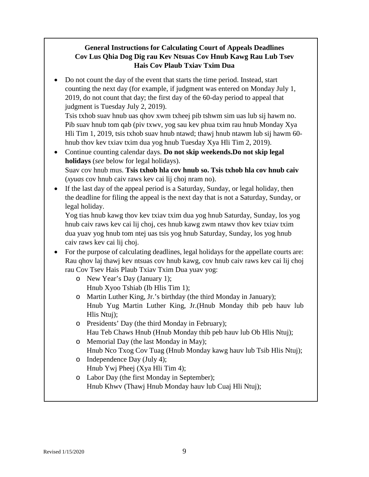#### **General Instructions for Calculating Court of Appeals Deadlines Cov Lus Qhia Dog Dig rau Kev Ntsuas Cov Hnub Kawg Rau Lub Tsev Hais Cov Plaub Txiav Txim Dua**

• Do not count the day of the event that starts the time period. Instead, start counting the next day (for example, if judgment was entered on Monday July 1, 2019, do not count that day; the first day of the 60-day period to appeal that judgment is Tuesday July 2, 2019).

Tsis txhob suav hnub uas qhov xwm txheej pib tshwm sim uas lub sij hawm no. Pib suav hnub tom qab (piv txwv, yog sau kev phua txim rau hnub Monday Xya Hli Tim 1, 2019, tsis txhob suav hnub ntawd; thawj hnub ntawm lub sij hawm 60 hnub thov kev txiav txim dua yog hnub Tuesday Xya Hli Tim 2, 2019).

- Continue counting calendar days. **Do not skip weekends.Do not skip legal holidays** (*see* below for legal holidays). Suav cov hnub mus. **Tsis txhob hla cov hnub so. Tsis txhob hla cov hnub caiv** (*xyuas* cov hnub caiv raws kev cai lij choj nram no).
- If the last day of the appeal period is a Saturday, Sunday, or legal holiday, then the deadline for filing the appeal is the next day that is not a Saturday, Sunday, or legal holiday.

Yog tias hnub kawg thov kev txiav txim dua yog hnub Saturday, Sunday, los yog hnub caiv raws kev cai lij choj, ces hnub kawg zwm ntawv thov kev txiav txim dua yuav yog hnub tom ntej uas tsis yog hnub Saturday, Sunday, los yog hnub caiv raws kev cai lij choj.

- For the purpose of calculating deadlines, legal holidays for the appellate courts are: Rau qhov laj thawj kev ntsuas cov hnub kawg, cov hnub caiv raws kev cai lij choj rau Cov Tsev Hais Plaub Txiav Txim Dua yuav yog:
	- o New Year's Day (January 1); Hnub Xyoo Tshiab (Ib Hlis Tim 1);
	- o Martin Luther King, Jr.'s birthday (the third Monday in January); Hnub Yug Martin Luther King, Jr.(Hnub Monday thib peb hauv lub Hlis Ntuj);
	- o Presidents' Day (the third Monday in February); Hau Teb Chaws Hnub (Hnub Monday thib peb hauv lub Ob Hlis Ntuj);
	- o Memorial Day (the last Monday in May); Hnub Nco Txog Cov Tuag (Hnub Monday kawg hauv lub Tsib Hlis Ntuj);
	- o Independence Day (July 4); Hnub Ywj Pheej (Xya Hli Tim 4);
	- o Labor Day (the first Monday in September); Hnub Khwv (Thawj Hnub Monday hauv lub Cuaj Hli Ntuj);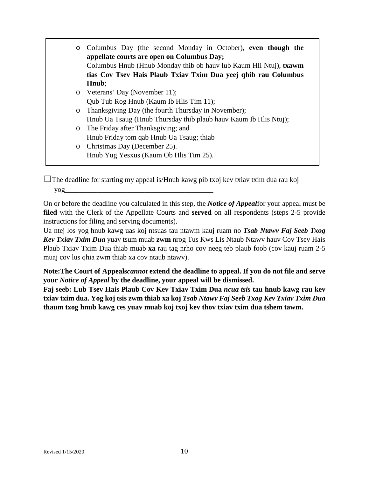| $\circ$ | Columbus Day (the second Monday in October), even though the<br>appellate courts are open on Columbus Day;<br>Columbus Hnub (Hnub Monday thib ob hauv lub Kaum Hli Ntuj), txawm<br>tias Cov Tsev Hais Plaub Txiav Txim Dua yeej qhib rau Columbus<br>Hnub; |  |
|---------|------------------------------------------------------------------------------------------------------------------------------------------------------------------------------------------------------------------------------------------------------------|--|
|         | o Veterans' Day (November 11);                                                                                                                                                                                                                             |  |
|         | Qub Tub Rog Hnub (Kaum Ib Hlis Tim 11);                                                                                                                                                                                                                    |  |
|         | o Thanksgiving Day (the fourth Thursday in November);                                                                                                                                                                                                      |  |
|         | Hnub Ua Tsaug (Hnub Thursday thib plaub hauv Kaum Ib Hlis Ntuj);                                                                                                                                                                                           |  |
|         | o The Friday after Thanksgiving; and                                                                                                                                                                                                                       |  |
|         | Hnub Friday tom qab Hnub Ua Tsaug; thiab                                                                                                                                                                                                                   |  |
|         | o Christmas Day (December 25).                                                                                                                                                                                                                             |  |
|         | Hnub Yug Yesxus (Kaum Ob Hlis Tim 25).                                                                                                                                                                                                                     |  |

 $\Box$ The deadline for starting my appeal is/Hnub kawg pib txoj kev txiav txim dua rau koj yog\_\_\_\_\_\_\_\_\_\_\_\_\_\_\_\_\_\_\_\_\_\_\_\_\_\_\_\_\_\_\_\_\_\_\_\_\_\_\_\_\_

On or before the deadline you calculated in this step, the *Notice of Appeal*for your appeal must be **filed** with the Clerk of the Appellate Courts and **served** on all respondents (steps 2-5 provide instructions for filing and serving documents).

Ua ntej los yog hnub kawg uas koj ntsuas tau ntawm kauj ruam no *Tsab Ntawv Faj Seeb Txog Kev Txiav Txim Dua* yuav tsum muab **zwm** nrog Tus Kws Lis Ntaub Ntawv hauv Cov Tsev Hais Plaub Txiav Txim Dua thiab muab **xa** rau tag nrho cov neeg teb plaub foob (cov kauj ruam 2-5 muaj cov lus qhia zwm thiab xa cov ntaub ntawv).

**Note:The Court of Appeals***cannot* **extend the deadline to appeal. If you do not file and serve your** *Notice of Appeal* **by the deadline, your appeal will be dismissed.**

**Faj seeb: Lub Tsev Hais Plaub Cov Kev Txiav Txim Dua** *ncua tsis* **tau hnub kawg rau kev txiav txim dua. Yog koj tsis zwm thiab xa koj** *Tsab Ntawv Faj Seeb Txog Kev Txiav Txim Dua* **thaum txog hnub kawg ces yuav muab koj txoj kev thov txiav txim dua tshem tawm.**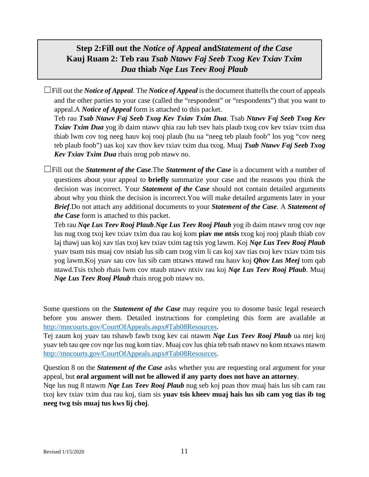# **Step 2:Fill out the** *Notice of Appeal* **and***Statement of the Case* **Kauj Ruam 2: Teb rau** *Tsab Ntawv Faj Seeb Txog Kev Txiav Txim Dua* **thiab** *Nqe Lus Teev Rooj Plaub*

 $\Box$ Fill out the *Notice of Appeal*. The *Notice of Appeal* is the document thattells the court of appeals and the other parties to your case (called the "respondent" or "respondents") that you want to appeal.A *Notice of Appeal* form is attached to this packet.

Teb rau *Tsab Ntawv Faj Seeb Txog Kev Txiav Txim Dua*. Tsab *Ntawv Faj Seeb Txog Kev Txiav Txim Dua* yog ib daim ntawv qhia rau lub tsev hais plaub txog cov kev txiav txim dua thiab lwm cov tog neeg hauv koj rooj plaub (hu ua "neeg teb plaub foob" los yog "cov neeg teb plaub foob") uas koj xav thov kev txiav txim dua txog. Muaj *Tsab Ntawv Faj Seeb Txog Kev Txiav Txim Dua* rhais nrog pob ntawv no.

☐Fill out the *Statement of the Case*.The *Statement of the Case* is a document with a number of questions about your appeal to **briefly** summarize your case and the reasons you think the decision was incorrect. Your *Statement of the Case* should not contain detailed arguments about why you think the decision is incorrect.You will make detailed arguments later in your *Brief*.Do not attach any additional documents to your *Statement of the Case*. A *Statement of the Case* form is attached to this packet.

Teb rau *Nqe Lus Teev Rooj Plaub*.*Nqe Lus Teev Rooj Plaub* yog ib daim ntawv nrog cov nqe lus nug txog txoj kev txiav txim dua rau koj kom **piav me ntsis** txog koj rooj plaub thiab cov laj thawj uas koj xav tias txoj kev txiav txim tag tsis yog lawm. Koj *Nqe Lus Teev Rooj Plaub* yuav tsum tsis muaj cov ntsiab lus sib cam txog vim li cas koj xav tias txoj kev txiav txim tsis yog lawm.Koj yuav sau cov lus sib cam ntxaws ntawd rau hauv koj *Qhov Lus Meej* tom qab ntawd.Tsis txhob rhais lwm cov ntaub ntawv ntxiv rau koj *Nqe Lus Teev Rooj Plaub*. Muaj *Nqe Lus Teev Rooj Plaub* rhais nrog pob ntawv no.

Some questions on the *Statement of the Case* may require you to dosome basic legal research before you answer them. Detailed instructions for completing this form are available at [http://mncourts.gov/CourtOfAppeals.aspx#Tab08Resources.](http://mncourts.gov/CourtOfAppeals.aspx#Tab08Resources)

Tej zaum koj yuav tau tshawb fawb txog kev cai ntawm *Nqe Lus Teev Rooj Plaub* ua ntej koj yuav teb tau qee cov nqe lus nug kom tiav. Muaj cov lus qhia teb tsab ntawv no kom ntxaws ntawm http://mncourts.gov/CourtOfAppeals.aspx#Tab08Resources.

Question 8 on the *Statement of the Case* asks whether you are requesting oral argument for your appeal, but **oral argument will not be allowed if any party does not have an attorney**.

Nqe lus nug 8 ntawm *Nqe Lus Teev Rooj Plaub* nug seb koj puas thov muaj hais lus sib cam rau txoj kev txiav txim dua rau koj, tiam sis **yuav tsis kheev muaj hais lus sib cam yog tias ib tog neeg twg tsis muaj tus kws lij choj**.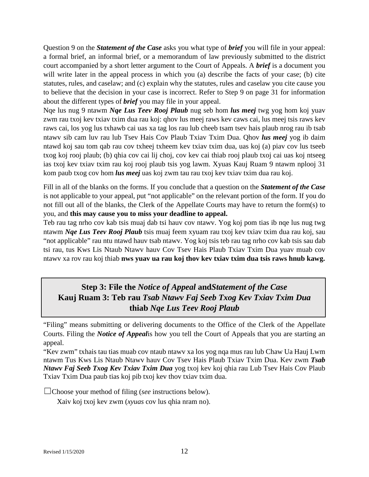Question 9 on the *Statement of the Case* asks you what type of *brief* you will file in your appeal: a formal brief, an informal brief, or a memorandum of law previously submitted to the district court accompanied by a short letter argument to the Court of Appeals. A *brief* is a document you will write later in the appeal process in which you (a) describe the facts of your case; (b) cite statutes, rules, and caselaw; and (c) explain why the statutes, rules and caselaw you cite cause you to believe that the decision in your case is incorrect. Refer to Step 9 on page 31 for information about the different types of *brief* you may file in your appeal.

Nqe lus nug 9 ntawm *Nqe Lus Teev Rooj Plaub* nug seb hom *lus meej* twg yog hom koj yuav zwm rau txoj kev txiav txim dua rau koj: qhov lus meej raws kev caws cai, lus meej tsis raws kev raws cai, los yog lus txhawb cai uas xa tag los rau lub cheeb tsam tsev hais plaub nrog rau ib tsab ntawv sib cam luv rau lub Tsev Hais Cov Plaub Txiav Txim Dua. Qhov *lus meej* yog ib daim ntawd koj sau tom qab rau cov txheej txheem kev txiav txim dua, uas koj (a) piav cov lus tseeb txog koj rooj plaub; (b) qhia cov cai lij choj, cov kev cai thiab rooj plaub txoj cai uas koj ntseeg ias txoj kev txiav txim rau koj rooj plaub tsis yog lawm. Xyuas Kauj Ruam 9 ntawm nplooj 31 kom paub txog cov hom *lus meej* uas koj zwm tau rau txoj kev txiav txim dua rau koj.

Fill in all of the blanks on the forms. If you conclude that a question on the *Statement of the Case* is not applicable to your appeal, put "not applicable" on the relevant portion of the form. If you do not fill out all of the blanks, the Clerk of the Appellate Courts may have to return the form(s) to you, and **this may cause you to miss your deadline to appeal.**

Teb rau tag nrho cov kab tsis muaj dab tsi hauv cov ntawv. Yog koj pom tias ib nqe lus nug twg ntawm *Nqe Lus Teev Rooj Plaub* tsis muaj feem xyuam rau txoj kev txiav txim dua rau koj, sau "not applicable" rau ntu ntawd hauv tsab ntawv. Yog koj tsis teb rau tag nrho cov kab tsis sau dab tsi rau, tus Kws Lis Ntaub Ntawv hauv Cov Tsev Hais Plaub Txiav Txim Dua yuav muab cov ntawv xa rov rau koj thiab **nws yuav ua rau koj thov kev txiav txim dua tsis raws hnub kawg.**

# **Step 3: File the** *Notice of Appeal* **and***Statement of the Case* **Kauj Ruam 3: Teb rau** *Tsab Ntawv Faj Seeb Txog Kev Txiav Txim Dua* **thiab** *Nqe Lus Teev Rooj Plaub*

"Filing" means submitting or delivering documents to the Office of the Clerk of the Appellate Courts. Filing the *Notice of Appeal*is how you tell the Court of Appeals that you are starting an appeal.

"Kev zwm" txhais tau tias muab cov ntaub ntawv xa los yog nqa mus rau lub Chaw Ua Hauj Lwm ntawm Tus Kws Lis Ntaub Ntawv hauv Cov Tsev Hais Plaub Txiav Txim Dua. Kev zwm *Tsab Ntawv Faj Seeb Txog Kev Txiav Txim Dua* yog txoj kev koj qhia rau Lub Tsev Hais Cov Plaub Txiav Txim Dua paub tias koj pib txoj kev thov txiav txim dua.

☐Choose your method of filing (*see* instructions below).

Xaiv koj txoj kev zwm (*xyuas* cov lus qhia nram no).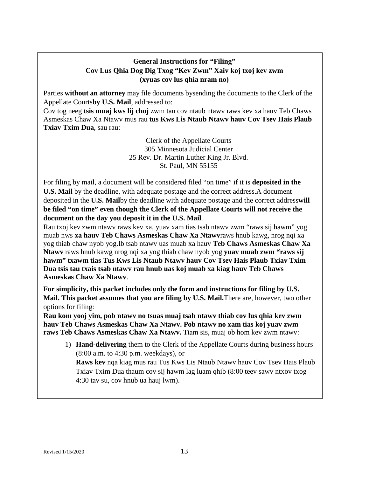#### **General Instructions for "Filing" Cov Lus Qhia Dog Dig Txog "Kev Zwm" Xaiv koj txoj kev zwm (xyuas cov lus qhia nram no)**

Parties **without an attorney** may file documents bysending the documents to the Clerk of the Appellate Courts**by U.S. Mail**, addressed to:

Cov tog neeg **tsis muaj kws lij choj** zwm tau cov ntaub ntawv raws kev xa hauv Teb Chaws Asmeskas Chaw Xa Ntawv mus rau **tus Kws Lis Ntaub Ntawv hauv Cov Tsev Hais Plaub Txiav Txim Dua**, sau rau:

> Clerk of the Appellate Courts 305 Minnesota Judicial Center 25 Rev. Dr. Martin Luther King Jr. Blvd. St. Paul, MN 55155

For filing by mail, a document will be considered filed "on time" if it is **deposited in the U.S. Mail** by the deadline, with adequate postage and the correct address.A document deposited in the **U.S. Mail**by the deadline with adequate postage and the correct address**will be filed "on time" even though the Clerk of the Appellate Courts will not receive the document on the day you deposit it in the U.S. Mail**.

Rau txoj kev zwm ntawv raws kev xa, yuav xam tias tsab ntawv zwm "raws sij hawm" yog muab nws **xa hauv Teb Chaws Asmeskas Chaw Xa Ntawv**raws hnub kawg, nrog nqi xa yog thiab chaw nyob yog.Ib tsab ntawv uas muab xa hauv **Teb Chaws Asmeskas Chaw Xa Ntawv** raws hnub kawg nrog nqi xa yog thiab chaw nyob yog **yuav muab zwm "raws sij hawm" txawm tias Tus Kws Lis Ntaub Ntawv hauv Cov Tsev Hais Plaub Txiav Txim Dua tsis tau txais tsab ntawv rau hnub uas koj muab xa kiag hauv Teb Chaws Asmeskas Chaw Xa Ntawv**.

**For simplicity, this packet includes only the form and instructions for filing by U.S. Mail. This packet assumes that you are filing by U.S. Mail.**There are, however, two other options for filing:

**Rau kom yooj yim, pob ntawv no tsuas muaj tsab ntawv thiab cov lus qhia kev zwm hauv Teb Chaws Asmeskas Chaw Xa Ntawv. Pob ntawv no xam tias koj yuav zwm raws Teb Chaws Asmeskas Chaw Xa Ntawv.** Tiam sis, muaj ob hom kev zwm ntawv:

1) **Hand-delivering** them to the Clerk of the Appellate Courts during business hours (8:00 a.m. to 4:30 p.m. weekdays), or

**Raws kev** nqa kiag mus rau Tus Kws Lis Ntaub Ntawv hauv Cov Tsev Hais Plaub Txiav Txim Dua thaum cov sij hawm lag luam qhib (8:00 teev sawv ntxov txog 4:30 tav su, cov hnub ua hauj lwm).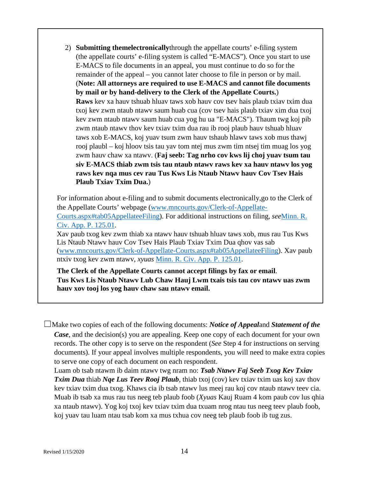2) **Submitting themelectronically**through the appellate courts' e-filing system (the appellate courts' e-filing system is called "E-MACS"). Once you start to use E-MACS to file documents in an appeal, you must continue to do so for the remainder of the appeal – you cannot later choose to file in person or by mail. (**Note: All attorneys are required to use E-MACS and cannot file documents by mail or by hand-delivery to the Clerk of the Appellate Courts.**) **Raws** kev xa hauv tshuab hluav taws xob hauv cov tsev hais plaub txiav txim dua txoj kev zwm ntaub ntawv saum huab cua (cov tsev hais plaub txiav xim dua txoj kev zwm ntaub ntawv saum huab cua yog hu ua "E-MACS"). Thaum twg koj pib zwm ntaub ntawv thov kev txiav txim dua rau ib rooj plaub hauv tshuab hluav taws xob E-MACS, koj yuav tsum zwm hauv tshaub hlawv taws xob mus thawj rooj plaubl – koj hloov tsis tau yav tom ntej mus zwm tim ntsej tim muag los yog zwm hauv chaw xa ntawv. (**Faj seeb: Tag nrho cov kws lij choj yuav tsum tau siv E-MACS thiab zwm tsis tau ntaub ntawv raws kev xa hauv ntawv los yog raws kev nqa mus cev rau Tus Kws Lis Ntaub Ntawv hauv Cov Tsev Hais Plaub Txiav Txim Dua.**)

For information about e-filing and to submit documents electronically,go to the Clerk of the Appellate Courts' webpage [\(www.mncourts.gov/Clerk-of-Appellate-](http://www.mncourts.gov/Clerk-of-Appellate-Courts.aspx#tab05AppellateeFiling)[Courts.aspx#tab05AppellateeFiling\)](http://www.mncourts.gov/Clerk-of-Appellate-Courts.aspx#tab05AppellateeFiling). For additional instructions on filing, *see*[Minn. R.](https://www.revisor.mn.gov/court_rules/ap/subtype/rcap/id/125/#125.01)  [Civ. App. P. 125.01.](https://www.revisor.mn.gov/court_rules/ap/subtype/rcap/id/125/#125.01)

Xav paub txog kev zwm thiab xa ntawv hauv tshuab hluav taws xob, mus rau Tus Kws Lis Ntaub Ntawv hauv Cov Tsev Hais Plaub Txiav Txim Dua qhov vas sab [\(www.mncourts.gov/Clerk-of-Appellate-Courts.aspx#tab05AppellateeFiling\)](http://www.mncourts.gov/Clerk-of-Appellate-Courts.aspx#tab05AppellateeFiling). Xav paub ntxiv txog kev zwm ntawv, *xyuas* [Minn. R. Civ. App. P. 125.01.](https://www.revisor.mn.gov/court_rules/ap/subtype/rcap/id/125/#125.01)

**The Clerk of the Appellate Courts cannot accept filings by fax or email**. **Tus Kws Lis Ntaub Ntawv Lub Chaw Hauj Lwm txais tsis tau cov ntawv uas zwm hauv xov tooj los yog hauv chaw sau ntawv email.**

☐Make two copies of each of the following documents: *Notice of Appeal*and *Statement of the Case*, and the decision(s) you are appealing. Keep one copy of each document for your own records. The other copy is to serve on the respondent (*See* Step 4 for instructions on serving documents). If your appeal involves multiple respondents, you will need to make extra copies to serve one copy of each document on each respondent.

Luam ob tsab ntawm ib daim ntawv twg nram no: *Tsab Ntawv Faj Seeb Txog Kev Txiav Txim Dua* thiab *Nqe Lus Teev Rooj Plaub*, thiab txoj (cov) kev txiav txim uas koj xav thov kev txiav txim dua txog. Khaws cia ib tsab ntawv lus meej rau koj cov ntaub ntawv teev cia. Muab ib tsab xa mus rau tus neeg teb plaub foob (*Xyuas* Kauj Ruam 4 kom paub cov lus qhia xa ntaub ntawv). Yog koj txoj kev txiav txim dua txuam nrog ntau tus neeg teev plaub foob, koj yuav tau luam ntau tsab kom xa mus txhua cov neeg teb plaub foob ib tug zus.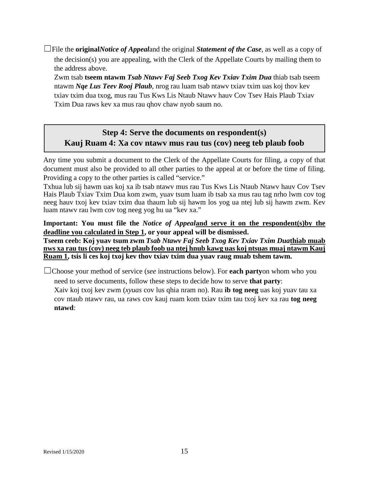☐File the **original***Notice of Appeal*and the original *Statement of the Case*, as well as a copy of the decision(s) you are appealing, with the Clerk of the Appellate Courts by mailing them to the address above.

Zwm tsab **tseem ntawm** *Tsab Ntawv Faj Seeb Txog Kev Txiav Txim Dua* thiab tsab tseem ntawm *Nqe Lus Teev Rooj Plaub*, nrog rau luam tsab ntawv txiav txim uas koj thov kev txiav txim dua txog, mus rau Tus Kws Lis Ntaub Ntawv hauv Cov Tsev Hais Plaub Txiav Txim Dua raws kev xa mus rau qhov chaw nyob saum no.

## **Step 4: Serve the documents on respondent(s) Kauj Ruam 4: Xa cov ntawv mus rau tus (cov) neeg teb plaub foob**

Any time you submit a document to the Clerk of the Appellate Courts for filing, a copy of that document must also be provided to all other parties to the appeal at or before the time of filing. Providing a copy to the other parties is called "service."

Txhua lub sij hawm uas koj xa ib tsab ntawv mus rau Tus Kws Lis Ntaub Ntawv hauv Cov Tsev Hais Plaub Txiav Txim Dua kom zwm, yuav tsum luam ib tsab xa mus rau tag nrho lwm cov tog neeg hauv txoj kev txiav txim dua thaum lub sij hawm los yog ua ntej lub sij hawm zwm. Kev luam ntawv rau lwm cov tog neeg yog hu ua "kev xa."

**Important: You must file the** *Notice of Appeal***and serve it on the respondent(s)by the deadline you calculated in Step 1, or your appeal will be dismissed.**

**Tseem ceeb: Koj yuav tsum zwm** *Tsab Ntawv Faj Seeb Txog Kev Txiav Txim Dua***thiab muab nws xa rau tus (cov) neeg teb plaub foob ua ntej hnub kawg uas koj ntsuas muaj ntawm Kauj Ruam 1, tsis li ces koj txoj kev thov txiav txim dua yuav raug muab tshem tawm.**

☐Choose your method of service (*see* instructions below). For **each party**on whom who you need to serve documents, follow these steps to decide how to serve **that party**:

Xaiv koj txoj kev zwm (*xyuas* cov lus qhia nram no). Rau **ib tog neeg** uas koj yuav tau xa cov ntaub ntawv rau, ua raws cov kauj ruam kom txiav txim tau txoj kev xa rau **tog neeg ntawd**: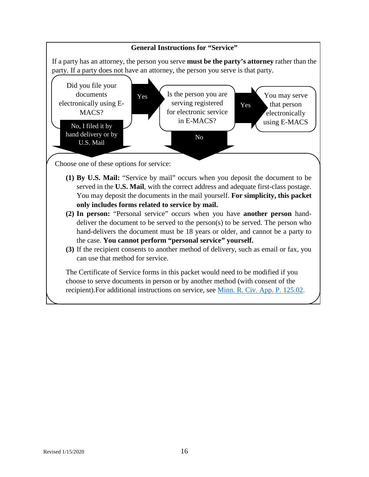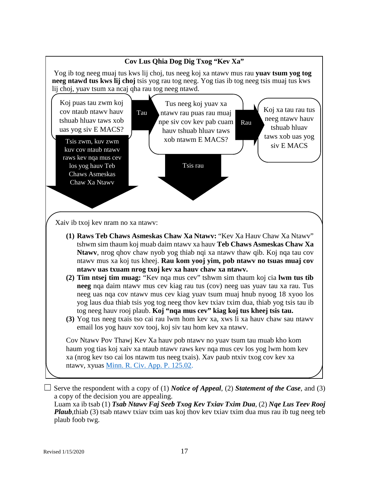

haum yog tias koj xaiv xa ntaub ntawv raws kev nqa mus cev los yog lwm hom kev xa (nrog kev tso cai los ntawm tus neeg txais). Xav paub ntxiv txog cov kev xa ntawv, xyuas [Minn. R. Civ. App. P. 125.02.](https://www.revisor.mn.gov/court_rules/ap/subtype/rcap/id/125/#125.02)

 $\Box$  Serve the respondent with a copy of (1) *Notice of Appeal*, (2) *Statement of the Case*, and (3) a copy of the decision you are appealing. Luam xa ib tsab (1) *Tsab Ntawv Faj Seeb Txog Kev Txiav Txim Dua*, (2) *Nqe Lus Teev Rooj* 

*Plaub*,thiab (3) tsab ntawv txiav txim uas koj thov kev txiav txim dua mus rau ib tug neeg teb plaub foob twg.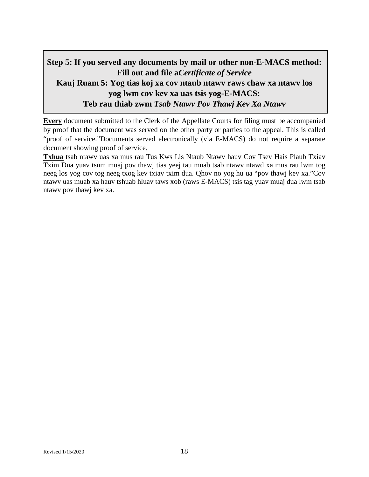# **Step 5: If you served any documents by mail or other non-E-MACS method: Fill out and file a***Certificate of Service* **Kauj Ruam 5: Yog tias koj xa cov ntaub ntawv raws chaw xa ntawv los yog lwm cov kev xa uas tsis yog-E-MACS: Teb rau thiab zwm** *Tsab Ntawv Pov Thawj Kev Xa Ntawv*

**Every** document submitted to the Clerk of the Appellate Courts for filing must be accompanied by proof that the document was served on the other party or parties to the appeal. This is called "proof of service."Documents served electronically (via E-MACS) do not require a separate document showing proof of service.

**Txhua** tsab ntawv uas xa mus rau Tus Kws Lis Ntaub Ntawv hauv Cov Tsev Hais Plaub Txiav Txim Dua yuav tsum muaj pov thawj tias yeej tau muab tsab ntawv ntawd xa mus rau lwm tog neeg los yog cov tog neeg txog kev txiav txim dua. Qhov no yog hu ua "pov thawj kev xa."Cov ntawv uas muab xa hauv tshuab hluav taws xob (raws E-MACS) tsis tag yuav muaj dua lwm tsab ntawv pov thawj kev xa.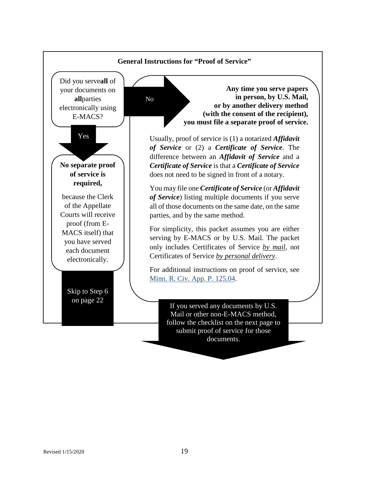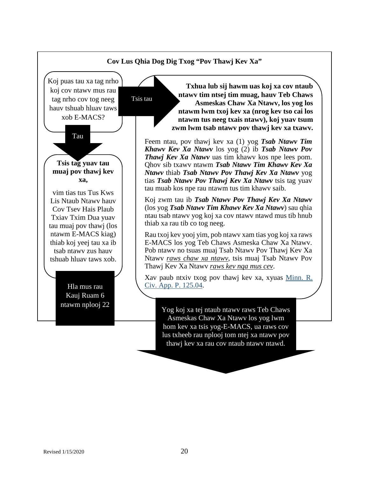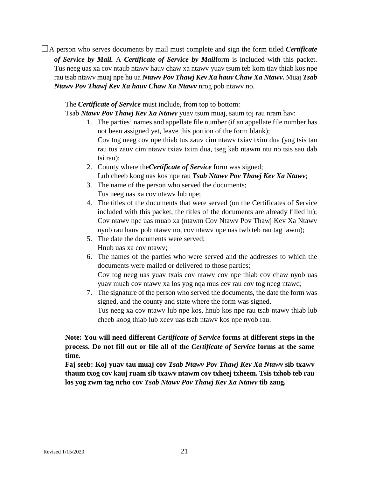☐A person who serves documents by mail must complete and sign the form titled *Certificate of Service by Mail.* A *Certificate of Service by Mail*form is included with this packet. Tus neeg uas xa cov ntaub ntawv hauv chaw xa ntawv yuav tsum teb kom tiav thiab kos npe rau tsab ntawv muaj npe hu ua *Ntawv Pov Thawj Kev Xa hauv Chaw Xa Ntawv.* Muaj *Tsab Ntawv Pov Thawj Kev Xa hauv Chaw Xa Ntawv* nrog pob ntawv no.

The *Certificate of Service* must include, from top to bottom:

Tsab *Ntawv Pov Thawj Kev Xa Ntawv* yuav tsum muaj, saum toj rau nram hav:

- 1. The parties' names and appellate file number (if an appellate file number has not been assigned yet, leave this portion of the form blank); Cov tog neeg cov npe thiab tus zauv cim ntawv txiav txim dua (yog tsis tau rau tus zauv cim ntawv txiav txim dua, tseg kab ntawm ntu no tsis sau dab tsi rau);
- 2. County where the*Certificate of Service* form was signed; Lub cheeb koog uas kos npe rau *Tsab Ntawv Pov Thawj Kev Xa Ntawv*;
- 3. The name of the person who served the documents; Tus neeg uas xa cov ntawv lub npe;
- 4. The titles of the documents that were served (on the Certificates of Service included with this packet, the titles of the documents are already filled in); Cov ntawv npe uas muab xa (ntawm Cov Ntawv Pov Thawj Kev Xa Ntawv nyob rau hauv pob ntawv no, cov ntawv npe uas twb teb rau tag lawm);
- 5. The date the documents were served; Hnub uas xa cov ntawv;
- 6. The names of the parties who were served and the addresses to which the documents were mailed or delivered to those parties; Cov tog neeg uas yuav txais cov ntawv cov npe thiab cov chaw nyob uas yuav muab cov ntawv xa los yog nqa mus cev rau cov tog neeg ntawd;
- 7. The signature of the person who served the documents, the date the form was signed, and the county and state where the form was signed. Tus neeg xa cov ntawv lub npe kos, hnub kos npe rau tsab ntawv thiab lub cheeb koog thiab lub xeev uas tsab ntawv kos npe nyob rau.

**Note: You will need different** *Certificate of Service* **forms at different steps in the process. Do not fill out or file all of the** *Certificate of Service* **forms at the same time.**

**Faj seeb: Koj yuav tau muaj cov** *Tsab Ntawv Pov Thawj Kev Xa Ntawv* **sib txawv thaum txog cov kauj ruam sib txawv ntawm cov txheej txheem. Tsis txhob teb rau los yog zwm tag nrho cov** *Tsab Ntawv Pov Thawj Kev Xa Ntawv* **tib zaug.**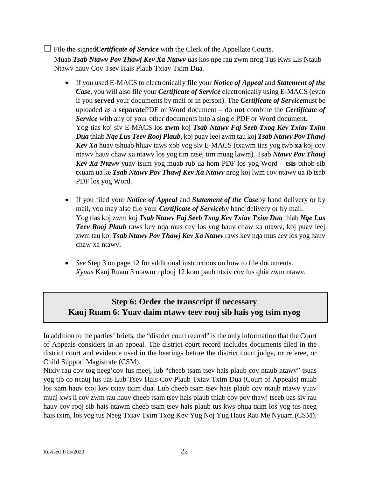## ☐ File the signed*Certificate of Service* with the Clerk of the Appellate Courts.

Muab *Tsab Ntawv Pov Thawj Kev Xa Ntawv* uas kos npe rau zwm nrog Tus Kws Lis Ntaub Ntawv hauv Cov Tsev Hais Plaub Txiav Txim Dua.

- If you used E-MACS to electronically **file** your *Notice of Appeal* and *Statement of the Case*, you will also file your *Certificate of Service* electronically using E-MACS (even if you **served** your documents by mail or in person). The *Certificate of Service*must be uploaded as a **separate**PDF or Word document – do **not** combine the *Certificate of Service* with any of your other documents into a single PDF or Word document. Yog tias koj siv E-MACS los **zwm** koj *Tsab Ntawv Faj Seeb Txog Kev Txiav Txim Dua* thiab *Nqe Lus Teev Rooj Plaub*, koj puav leej zwm tau koj *Tsab Ntawv Pov Thawj Kev Xa* huav tshuab hluav taws xob yog siv E-MACS (txawm tias yog twb **xa** koj cov ntawv hauv chaw xa ntawv los yog tim ntsej tim muag lawm). Tsab *Ntawv Pov Thawj Kev Xa Ntawv* yuav tsum yog muab rub ua hom PDF los yog Word – **tsis** txhob sib txuam ua ke *Tsab Ntawv Pov Thawj Kev Xa Ntawv* nrog koj lwm cov ntawv ua ib tsab PDF los yog Word.
- If you filed your *Notice of Appeal* and *Statement of the Case*by hand delivery or by mail, you may also file your *Certificate of Service*by hand delivery or by mail. Yog tias koj zwm koj *Tsab Ntawv Faj Seeb Txog Kev Txiav Txim Dua* thiab *Nqe Lus Teev Rooj Plaub* raws kev nqa mus cev los yog hauv chaw xa ntawv, koj puav leej zwm tau koj *Tsab Ntawv Pov Thawj Kev Xa Ntawv* raws kev nqa mus cev los yog hauv chaw xa ntawv.
- *See* Step 3 on page 12 for additional instructions on how to file documents. *Xyuas* Kauj Ruam 3 ntawm nplooj 12 kom paub ntxiv cov lus qhia zwm ntawv.

# **Step 6: Order the transcript if necessary Kauj Ruam 6: Yuav daim ntawv teev rooj sib hais yog tsim nyog**

In addition to the parties' briefs, the "district court record" is the only information that the Court of Appeals considers in an appeal. The district court record includes documents filed in the district court and evidence used in the hearings before the district court judge, or referee, or Child Support Magistrate (CSM).

Ntxiv rau cov tog neeg'cov lus meej, lub "cheeb tsam tsev hais plaub cov ntaub ntawv" tsuas yog tib co ncauj lus uas Lub Tsev Hais Cov Plaub Txiav Txim Dua (Court of Appeals) muab los xam hauv txoj kev txiav txim dua. Lub cheeb tsam tsev hais plaub cov ntaub ntawv yuav muaj xws li cov zwm rau hauv cheeb tsam tsev hais plaub thiab cov pov thawj tseeb uas siv rau hauv cov rooj sib hais ntawm cheeb tsam tsev hais plaub tus kws phua txim los yog tus neeg hais txim, los yog tus Neeg Txiav Txim Txog Kev Yug Noj Yug Haus Rau Me Nyuam (CSM).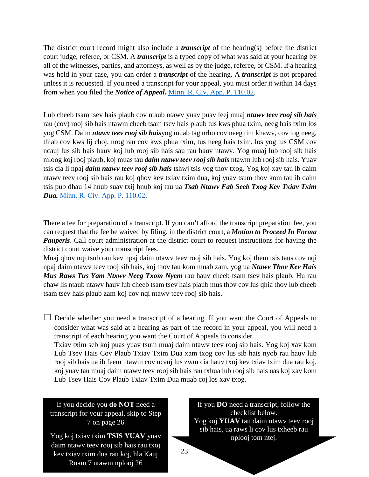The district court record might also include a *transcript* of the hearing(s) before the district court judge, referee, or CSM. A *transcript* is a typed copy of what was said at your hearing by all of the witnesses, parties, and attorneys, as well as by the judge, referee, or CSM. If a hearing was held in your case, you can order a *transcript* of the hearing. A *transcript* is not prepared unless it is requested. If you need a transcript for your appeal, you must order it within 14 days from when you filed the *Notice of Appeal.* [Minn. R. Civ. App. P. 110.02.](https://www.revisor.mn.gov/court_rules/ap/subtype/rcap/id/110/#110.02)

Lub cheeb tsam tsev hais plaub cov ntaub ntawv yuav puav leej muaj *ntawv teev rooj sib hais* rau (cov) rooj sib hais ntawm cheeb tsam tsev hais plaub tus kws phua txim, neeg hais txim los yog CSM. Daim *ntawv teev rooj sib hais*yog muab tag nrho cov neeg tim khawv, cov tog neeg, thiab cov kws lij choj, nrog rau cov kws phua txim, tus neeg hais txim, los yog tus CSM cov ncauj lus sib hais hauv koj lub rooj sib hais sau rau hauv ntawv. Yog muaj lub rooj sib hais mloog koj rooj plaub, koj muas tau *daim ntawv teev rooj sib hais* ntawm lub rooj sib hais. Yuav tsis cia li npaj *daim ntawv teev rooj sib hais* tshwj tsis yog thov txog. Yog koj xav tau ib daim ntawv teev rooj sib hais rau koj qhov kev txiav txim dua, koj yuav tsum thov kom tau ib daim tsis pub dhau 14 hnub suav txij hnub koj tau ua *Tsab Ntawv Fab Seeb Txog Kev Txiav Txim Dua.* [Minn. R. Civ. App. P. 110.02.](https://www.revisor.mn.gov/court_rules/ap/subtype/rcap/id/110/#110.02)

There a fee for preparation of a transcript. If you can't afford the transcript preparation fee, you can request that the fee be waived by filing, in the district court, a *Motion to Proceed In Forma Pauperis*. Call court administration at the district court to request instructions for having the district court waive your transcript fees.

Muaj qhov nqi tsub rau kev npaj daim ntawv teev rooj sib hais. Yog koj them tsis taus cov nqi npaj daim ntawv teev rooj sib hais, koj thov tau kom muab zam, yog ua *Ntawv Thov Kev Hais Mus Raws Tus Yam Ntxwv Neeg Txom Nyem* rau hauv cheeb tsam tsev hais plaub. Hu rau chaw lis ntaub ntawv hauv lub cheeb tsam tsev hais plaub mus thov cov lus qhia thov lub cheeb tsam tsev hais plaub zam koj cov nqi ntawv teev rooj sib hais.

 $\Box$  Decide whether you need a transcript of a hearing. If you want the Court of Appeals to consider what was said at a hearing as part of the record in your appeal, you will need a transcript of each hearing you want the Court of Appeals to consider. Txiav txim seb koj puas yuav tsum muaj daim ntawv teev rooj sib hais. Yog koj xav kom Lub Tsev Hais Cov Plaub Txiav Txim Dua xam txog cov lus sib hais nyob rau hauv lub

rooj sib hais ua ib feem ntawm cov ncauj lus zwm cia hauv txoj kev txiav txim dua rau koj, koj yuav tau muaj daim ntawv teev rooj sib hais rau txhua lub rooj sib hais uas koj xav kom Lub Tsev Hais Cov Plaub Txiav Txim Dua muab coj los xav txog.

If you decide you **do NOT** need a transcript for your appeal, skip to Step 7 on page 26

kev txiav txim dua rau koj, hla Kauj $\frac{23}{2}$ Yog koj txiav txim **TSIS YUAV** yuav daim ntawv teev rooj sib hais rau txoj Ruam 7 ntawm nplooj 26

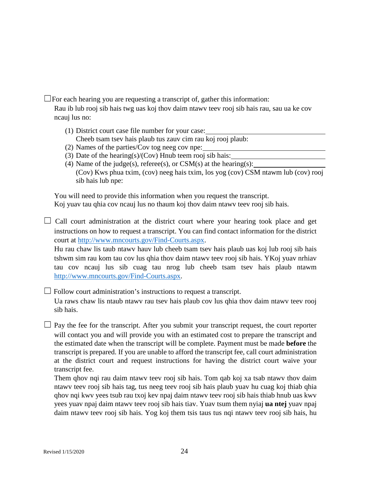$\Box$  For each hearing you are requesting a transcript of, gather this information:

Rau ib lub rooj sib hais twg uas koj thov daim ntawv teev rooj sib hais rau, sau ua ke cov ncauj lus no:

- (1) District court case file number for your case: Cheeb tsam tsev hais plaub tus zauv cim rau koj rooj plaub:
- (2) Names of the parties/Cov tog neeg cov npe:
- (3) Date of the hearing(s)/(Cov) Hnub teem rooj sib hais:
- (4) Name of the judge(s), referee(s), or  $CSM(s)$  at the hearing(s): (Cov) Kws phua txim, (cov) neeg hais txim, los yog (cov) CSM ntawm lub (cov) rooj sib hais lub npe:

You will need to provide this information when you request the transcript. Koj yuav tau qhia cov ncauj lus no thaum koj thov daim ntawv teev rooj sib hais.

 $\Box$  Call court administration at the district court where your hearing took place and get instructions on how to request a transcript. You can find contact information for the district court at [http://www.mncourts.gov/Find-Courts.aspx.](http://www.mncourts.gov/Find-Courts.aspx)

Hu rau chaw lis taub ntawv hauv lub cheeb tsam tsev hais plaub uas koj lub rooj sib hais tshwm sim rau kom tau cov lus qhia thov daim ntawv teev rooj sib hais. YKoj yuav nrhiav tau cov ncauj lus sib cuag tau nrog lub cheeb tsam tsev hais plaub ntawm [http://www.mncourts.gov/Find-Courts.aspx.](http://www.mncourts.gov/Find-Courts.aspx)

 $\Box$  Follow court administration's instructions to request a transcript.

Ua raws chaw lis ntaub ntawv rau tsev hais plaub cov lus qhia thov daim ntawv teev rooj sib hais.

 $\Box$  Pay the fee for the transcript. After you submit your transcript request, the court reporter will contact you and will provide you with an estimated cost to prepare the transcript and the estimated date when the transcript will be complete. Payment must be made **before** the transcript is prepared. If you are unable to afford the transcript fee, call court administration at the district court and request instructions for having the district court waive your transcript fee.

Them qhov nqi rau daim ntawv teev rooj sib hais. Tom qab koj xa tsab ntawv thov daim ntawv teev rooj sib hais tag, tus neeg teev rooj sib hais plaub yuav hu cuag koj thiab qhia qhov nqi kwv yees tsub rau txoj kev npaj daim ntawv teev rooj sib hais thiab hnub uas kwv yees yuav npaj daim ntawv teev rooj sib hais tiav. Yuav tsum them nyiaj **ua ntej** yuav npaj daim ntawv teev rooj sib hais. Yog koj them tsis taus tus nqi ntawv teev rooj sib hais, hu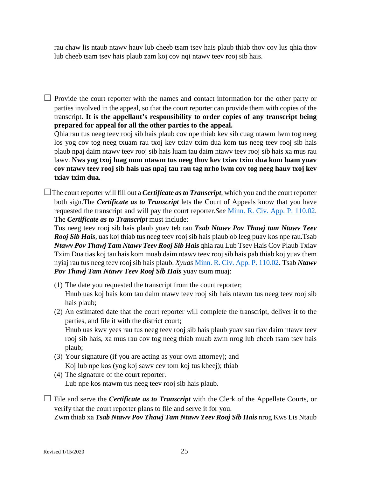rau chaw lis ntaub ntawv hauv lub cheeb tsam tsev hais plaub thiab thov cov lus qhia thov lub cheeb tsam tsev hais plaub zam koj cov nqi ntawv teev rooj sib hais.

 $\Box$  Provide the court reporter with the names and contact information for the other party or parties involved in the appeal, so that the court reporter can provide them with copies of the transcript. **It is the appellant's responsibility to order copies of any transcript being prepared for appeal for all the other parties to the appeal.** 

Qhia rau tus neeg teev rooj sib hais plaub cov npe thiab kev sib cuag ntawm lwm tog neeg los yog cov tog neeg txuam rau txoj kev txiav txim dua kom tus neeg teev rooj sib hais plaub npaj daim ntawv teev rooj sib hais luam tau daim ntawv teev rooj sib hais xa mus rau lawv. **Nws yog txoj luag num ntawm tus neeg thov kev txiav txim dua kom luam yuav cov ntawv teev rooj sib hais uas npaj tau rau tag nrho lwm cov tog neeg hauv txoj kev txiav txim dua.** 

 $\Box$ The court reporter will fill out a *Certificate as to Transcript*, which you and the court reporter both sign.The *Certificate as to Transcript* lets the Court of Appeals know that you have requested the transcript and will pay the court reporter.*See* [Minn. R. Civ. App. P. 110.02.](https://www.revisor.mn.gov/court_rules/ap/subtype/rcap/id/110/#110.02) The *Certificate as to Transcript* must include:

Tus neeg teev rooj sib hais plaub yuav teb rau *Tsab Ntawv Pov Thawj tam Ntawv Teev Rooj Sib Hais*, uas koj thiab tus neeg teev rooj sib hais plaub ob leeg puav kos npe rau.Tsab *Ntawv Pov Thawj Tam Ntawv Teev Rooj Sib Hais* qhia rau Lub Tsev Hais Cov Plaub Txiav Txim Dua tias koj tau hais kom muab daim ntawv teev rooj sib hais pab thiab koj yuav them nyiaj rau tus neeg teev rooj sib hais plaub. *Xyuas* [Minn. R. Civ. App. P. 110.02.](https://www.revisor.mn.gov/court_rules/ap/subtype/rcap/id/110/#110.02) Tsab *Ntawv Pov Thawj Tam Ntawv Teev Rooj Sib Hais* yuav tsum muaj:

- (1) The date you requested the transcript from the court reporter; Hnub uas koj hais kom tau daim ntawv teev rooj sib hais ntawm tus neeg teev rooj sib hais plaub;
- (2) An estimated date that the court reporter will complete the transcript, deliver it to the parties, and file it with the district court; Hnub uas kwv yees rau tus neeg teev rooj sib hais plaub yuav sau tiav daim ntawv teev rooj sib hais, xa mus rau cov tog neeg thiab muab zwm nrog lub cheeb tsam tsev hais

plaub;

- (3) Your signature (if you are acting as your own attorney); and Koj lub npe kos (yog koj sawv cev tom koj tus kheej); thiab
- (4) The signature of the court reporter. Lub npe kos ntawm tus neeg teev rooj sib hais plaub.
- □ File and serve the *Certificate as to Transcript* with the Clerk of the Appellate Courts, or verify that the court reporter plans to file and serve it for you. Zwm thiab xa *Tsab Ntawv Pov Thawj Tam Ntawv Teev Rooj Sib Hais* nrog Kws Lis Ntaub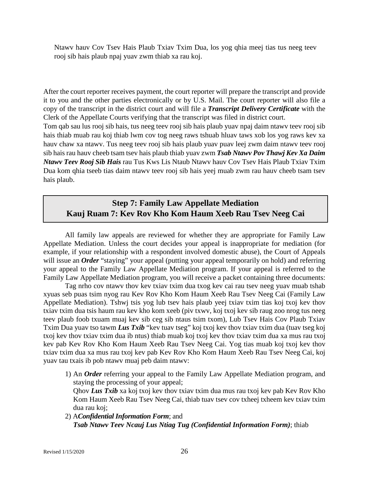Ntawv hauv Cov Tsev Hais Plaub Txiav Txim Dua, los yog qhia meej tias tus neeg teev rooj sib hais plaub npaj yuav zwm thiab xa rau koj.

After the court reporter receives payment, the court reporter will prepare the transcript and provide it to you and the other parties electronically or by U.S. Mail. The court reporter will also file a copy of the transcript in the district court and will file a *Transcript Delivery Certificate* with the Clerk of the Appellate Courts verifying that the transcript was filed in district court. Tom qab sau lus rooj sib hais, tus neeg teev rooj sib hais plaub yuav npaj daim ntawv teev rooj sib hais thiab muab rau koj thiab lwm cov tog neeg raws tshuab hluav taws xob los yog raws kev xa hauv chaw xa ntawv. Tus neeg teev rooj sib hais plaub yuav puav leej zwm daim ntawv teev rooj sib hais rau hauv cheeb tsam tsev hais plaub thiab yuav zwm *Tsab Ntawv Pov Thawj Kev Xa Daim Ntawv Teev Rooj Sib Hais* rau Tus Kws Lis Ntaub Ntawv hauv Cov Tsev Hais Plaub Txiav Txim Dua kom qhia tseeb tias daim ntawv teev rooj sib hais yeej muab zwm rau hauv cheeb tsam tsev hais plaub.

## **Step 7: Family Law Appellate Mediation Kauj Ruam 7: Kev Rov Kho Kom Haum Xeeb Rau Tsev Neeg Cai**

All family law appeals are reviewed for whether they are appropriate for Family Law Appellate Mediation. Unless the court decides your appeal is inappropriate for mediation (for example, if your relationship with a respondent involved domestic abuse), the Court of Appeals will issue an *Order* "staying" your appeal (putting your appeal temporarily on hold) and referring your appeal to the Family Law Appellate Mediation program. If your appeal is referred to the Family Law Appellate Mediation program, you will receive a packet containing three documents:

Tag nrho cov ntawv thov kev txiav txim dua txog kev cai rau tsev neeg yuav muab tshab xyuas seb puas tsim nyog rau Kev Rov Kho Kom Haum Xeeb Rau Tsev Neeg Cai (Family Law Appellate Mediation). Tshwj tsis yog lub tsev hais plaub yeej txiav txim tias koj txoj kev thov txiav txim dua tsis haum rau kev kho kom xeeb (piv txwv, koj txoj kev sib raug zoo nrog tus neeg teev plaub foob txuam muaj kev sib ceg sib ntaus tsim txom), Lub Tsev Hais Cov Plaub Txiav Txim Dua yuav tso tawm *Lus Txib* "kev tuav tseg" koj txoj kev thov txiav txim dua (tuav tseg koj txoj kev thov txiav txim dua ib ntus) thiab muab koj txoj kev thov txiav txim dua xa mus rau txoj kev pab Kev Rov Kho Kom Haum Xeeb Rau Tsev Neeg Cai. Yog tias muab koj txoj kev thov txiav txim dua xa mus rau txoj kev pab Kev Rov Kho Kom Haum Xeeb Rau Tsev Neeg Cai, koj yuav tau txais ib pob ntawv muaj peb daim ntawv:

1) An *Order* referring your appeal to the Family Law Appellate Mediation program, and staying the processing of your appeal;

Qhov *Lus Txib* xa koj txoj kev thov txiav txim dua mus rau txoj kev pab Kev Rov Kho Kom Haum Xeeb Rau Tsev Neeg Cai, thiab tuav tsev cov txheej txheem kev txiav txim dua rau koj;

2) A*Confidential Information Form*; and *Tsab Ntawv Teev Ncauj Lus Ntiag Tug (Confidential Information Form)*; thiab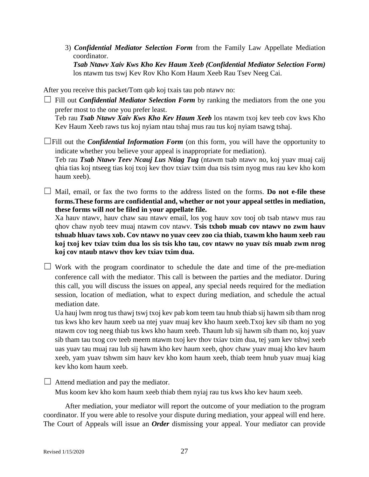3) *Confidential Mediator Selection Form* from the Family Law Appellate Mediation coordinator. *Tsab Ntawv Xaiv Kws Kho Kev Haum Xeeb (Confidential Mediator Selection Form)*

los ntawm tus tswj Kev Rov Kho Kom Haum Xeeb Rau Tsev Neeg Cai.

After you receive this packet/Tom qab koj txais tau pob ntawv no:

 $\Box$  Fill out *Confidential Mediator Selection Form* by ranking the mediators from the one you prefer most to the one you prefer least.

Teb rau *Tsab Ntawv Xaiv Kws Kho Kev Haum Xeeb* los ntawm txoj kev teeb cov kws Kho Kev Haum Xeeb raws tus koj nyiam ntau tshaj mus rau tus koj nyiam tsawg tshaj.

 $\Box$ Fill out the *Confidential Information Form* (on this form, you will have the opportunity to indicate whether you believe your appeal is inappropriate for mediation).

Teb rau *Tsab Ntawv Teev Ncauj Lus Ntiag Tug* (ntawm tsab ntawv no, koj yuav muaj caij qhia tias koj ntseeg tias koj txoj kev thov txiav txim dua tsis tsim nyog mus rau kev kho kom haum xeeb).

□ Mail, email, or fax the two forms to the address listed on the forms. **Do not e-file these forms.These forms are confidential and, whether or not your appeal settles in mediation, these forms will** *not* **be filed in your appellate file.**

Xa hauv ntawv, hauv chaw sau ntawv email, los yog hauv xov tooj ob tsab ntawv mus rau qhov chaw nyob teev muaj ntawm cov ntawv. **Tsis txhob muab cov ntawv no zwm hauv tshuab hluav taws xob. Cov ntawv no yuav ceev zoo cia thiab, txawm kho haum xeeb rau koj txoj kev txiav txim dua los sis tsis kho tau, cov ntawv no yuav** *tsis* **muab zwm nrog koj cov ntaub ntawv thov kev txiav txim dua.**

 $\Box$  Work with the program coordinator to schedule the date and time of the pre-mediation conference call with the mediator. This call is between the parties and the mediator. During this call, you will discuss the issues on appeal, any special needs required for the mediation session, location of mediation, what to expect during mediation, and schedule the actual mediation date.

Ua hauj lwm nrog tus thawj tswj txoj kev pab kom teem tau hnub thiab sij hawm sib tham nrog tus kws kho kev haum xeeb ua ntej yuav muaj kev kho haum xeeb.Txoj kev sib tham no yog ntawm cov tog neeg thiab tus kws kho haum xeeb. Thaum lub sij hawm sib tham no, koj yuav sib tham tau txog cov teeb meem ntawm txoj kev thov txiav txim dua, tej yam kev tshwj xeeb uas yuav tau muaj rau lub sij hawm kho kev haum xeeb, qhov chaw yuav muaj kho kev haum xeeb, yam yuav tshwm sim hauv kev kho kom haum xeeb, thiab teem hnub yuav muaj kiag kev kho kom haum xeeb.

 $\Box$  Attend mediation and pay the mediator.

Mus koom kev kho kom haum xeeb thiab them nyiaj rau tus kws kho kev haum xeeb.

After mediation, your mediator will report the outcome of your mediation to the program coordinator. If you were able to resolve your dispute during mediation, your appeal will end here. The Court of Appeals will issue an *Order* dismissing your appeal. Your mediator can provide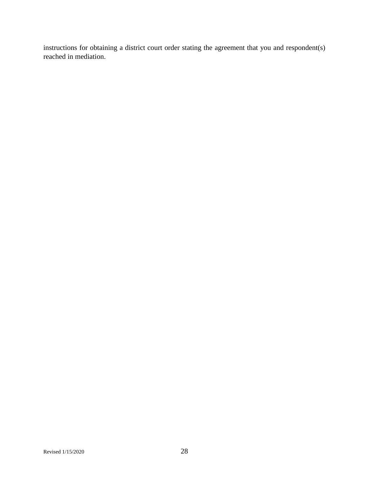instructions for obtaining a district court order stating the agreement that you and respondent(s) reached in mediation.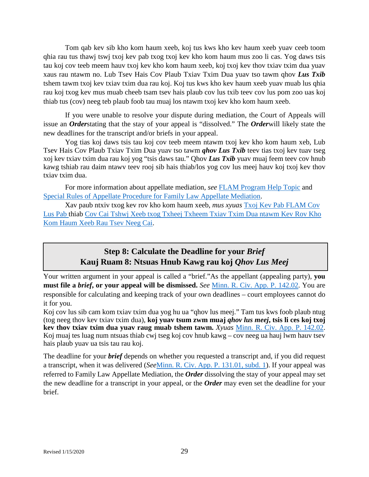Tom qab kev sib kho kom haum xeeb, koj tus kws kho kev haum xeeb yuav ceeb toom qhia rau tus thawj tswj txoj kev pab txog txoj kev kho kom haum mus zoo li cas. Yog daws tsis tau koj cov teeb meem hauv txoj kev kho kom haum xeeb, koj txoj kev thov txiav txim dua yuav xaus rau ntawm no. Lub Tsev Hais Cov Plaub Txiav Txim Dua yuav tso tawm qhov *Lus Txib* tshem tawm txoj kev txiav txim dua rau koj. Koj tus kws kho kev haum xeeb yuav muab lus qhia rau koj txog kev mus muab cheeb tsam tsev hais plaub cov lus txib teev cov lus pom zoo uas koj thiab tus (cov) neeg teb plaub foob tau muaj los ntawm txoj kev kho kom haum xeeb.

If you were unable to resolve your dispute during mediation, the Court of Appeals will issue an *Order*stating that the stay of your appeal is "dissolved." The *Order*will likely state the new deadlines for the transcript and/or briefs in your appeal.

Yog tias koj daws tsis tau koj cov teeb meem ntawm txoj kev kho kom haum xeb, Lub Tsev Hais Cov Plaub Txiav Txim Dua yuav tso tawm *qhov Lus Txib* teev tias txoj kev tuav tseg xoj kev txiav txim dua rau koj yog "tsis daws tau." Qhov *Lus Txib* yuav muaj feem teev cov hnub kawg tshiab rau daim ntawv teev rooj sib hais thiab/los yog cov lus meej hauv koj txoj kev thov txiav txim dua.

For more information about appellate mediation, *see* [FLAM Program Help Topic](http://mncourts.gov/CourtOfAppeals/COAHelpTopics.aspx#tab08COAMediation) and [Special Rules of Appellate Procedure for Family Law Appellate Mediation.](http://www.mncourts.gov/mncourtsgov/media/assets/appellate_courts/documents/Spec_Rules_re_Fam_L_Med_12-6_rev.pdf)

Xav paub ntxiv txog kev rov kho kom haum xeeb, *mus xyuas* [Txoj Kev Pab FLAM Cov](http://mncourts.gov/CourtOfAppeals/COAHelpTopics.aspx#tab08COAMediation)  [Lus Pab t](http://mncourts.gov/CourtOfAppeals/COAHelpTopics.aspx#tab08COAMediation)hiab Cov Cai Tshwj Xeeb txog Txheej Txheem Txiav Txim Dua ntawm Kev Rov Kho Kom Haum Xeeb Rau Tsev Neeg Cai.

# **Step 8: Calculate the Deadline for your** *Brief* **Kauj Ruam 8: Ntsuas Hnub Kawg rau koj** *Qhov Lus Meej*

Your written argument in your appeal is called a "brief."As the appellant (appealing party), **you must file a** *brief***, or your appeal will be dismissed.** *See* [Minn. R. Civ. App. P. 142.02.](https://www.revisor.mn.gov/court_rules/ap/subtype/rcap/id/142/#142.02) You are responsible for calculating and keeping track of your own deadlines – court employees cannot do it for you.

Koj cov lus sib cam kom txiav txim dua yog hu ua "qhov lus meej." Tam tus kws foob plaub ntug (tog neeg thov kev txiav txim dua), **koj yuav tsum zwm muaj** *qhov lus meej***, tsis li ces koj txoj kev thov txiav txim dua yuav raug muab tshem tawm.** *Xyuas* [Minn. R. Civ. App. P. 142.02.](https://www.revisor.mn.gov/court_rules/ap/subtype/rcap/id/142/#142.02) Koj muaj tes luag num ntsuas thiab cwj tseg koj cov hnub kawg – cov neeg ua hauj lwm hauv tsev hais plaub yuav ua tsis tau rau koj.

The deadline for your *brief* depends on whether you requested a transcript and, if you did request a transcript, when it was delivered (*See*[Minn. R. Civ. App. P. 131.01, subd. 1\)](https://www.revisor.mn.gov/court_rules/ap/subtype/rcap/id/131/#131.01). If your appeal was referred to Family Law Appellate Mediation, the *Order* dissolving the stay of your appeal may set the new deadline for a transcript in your appeal, or the *Order* may even set the deadline for your brief.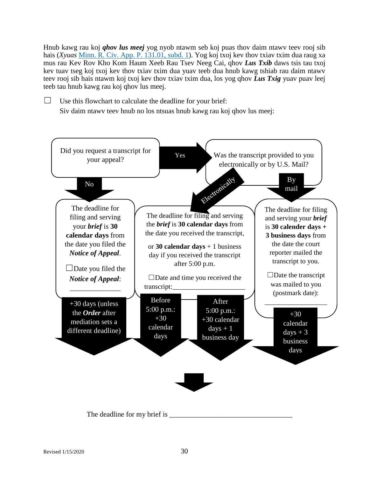Hnub kawg rau koj *qhov lus meej* yog nyob ntawm seb koj puas thov daim ntawv teev rooj sib hais (*Xyuas* [Minn. R. Civ. App. P. 131.01, subd. 1\)](https://www.revisor.mn.gov/court_rules/ap/subtype/rcap/id/131/#131.01). Yog koj txoj kev thov txiav txim dua raug xa mus rau Kev Rov Kho Kom Haum Xeeb Rau Tsev Neeg Cai, qhov *Lus Txib* daws tsis tau txoj kev tuav tseg koj txoj kev thov txiav txim dua yuav teeb dua hnub kawg tshiab rau daim ntawv teev rooj sib hais ntawm koj txoj kev thov txiav txim dua, los yog qhov *Lus Txig* yuav puav leej teeb tau hnub kawg rau koj qhov lus meej.

 $\Box$  Use this flowchart to calculate the deadline for your brief: Siv daim ntawv teev hnub no los ntsuas hnub kawg rau koj qhov lus meej:

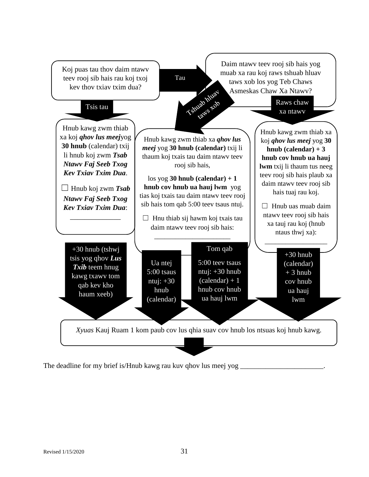

The deadline for my brief is/Hnub kawg rau kuv qhov lus meej yog  $\equiv$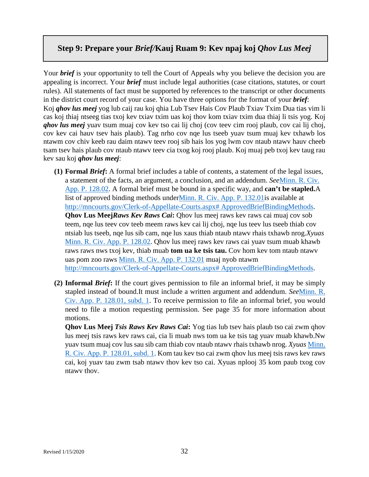## **Step 9: Prepare your** *Brief/***Kauj Ruam 9: Kev npaj koj** *Qhov Lus Meej*

Your *brief* is your opportunity to tell the Court of Appeals why you believe the decision you are appealing is incorrect. Your *brief* must include legal authorities (case citations, statutes, or court rules). All statements of fact must be supported by references to the transcript or other documents in the district court record of your case. You have three options for the format of your *brief*: Koj *qhov lus meej* yog lub caij rau koj qhia Lub Tsev Hais Cov Plaub Txiav Txim Dua tias vim li cas koj thiaj ntseeg tias txoj kev txiav txim uas koj thov kom txiav txim dua thiaj li tsis yog. Koj *qhov lus meej* yuav tsum muaj cov kev tso cai lij choj (cov teev cim rooj plaub, cov cai lij choj, cov kev cai hauv tsev hais plaub). Tag nrho cov nqe lus tseeb yuav tsum muaj kev txhawb los ntawm cov chiv keeb rau daim ntawv teev rooj sib hais los yog lwm cov ntaub ntawv hauv cheeb tsam tsev hais plaub cov ntaub ntawv teev cia txog koj rooj plaub. Koj muaj peb txoj kev taug rau kev sau koj *qhov lus meej*:

- **(1) Formal** *Brief***:** A formal brief includes a table of contents, a statement of the legal issues, a statement of the facts, an argument, a conclusion, and an addendum. *See*[Minn. R. Civ.](https://www.revisor.mn.gov/court_rules/ap/subtype/rcap/id/128/#128.02) [App. P. 128.02.](https://www.revisor.mn.gov/court_rules/ap/subtype/rcap/id/128/#128.02) A formal brief must be bound in a specific way, and **can't be stapled.**A list of approved binding methods unde[rMinn. R. Civ. App. P. 132.01i](https://www.revisor.mn.gov/court_rules/ap/subtype/rcap/id/132/#132.01)s available at [http://mncourts.gov/Clerk-of-Appellate-Courts.aspx# ApprovedBriefBindingMethods.](http://mncourts.gov/Clerk-of-Appellate-Courts.aspx#%20ApprovedBriefBindingMethods) **Qhov Lus Meej***Raws Kev Raws Cai***:** Qhov lus meej raws kev raws cai muaj cov sob teem, nqe lus teev cov teeb meem raws kev cai lij choj, nqe lus teev lus tseeb thiab cov ntsiab lus tseeb, nqe lus sib cam, nqe lus xaus thiab ntaub ntawv rhais txhawb nrog.*Xyuas*  [Minn. R. Civ. App. P. 128.02.](https://www.revisor.mn.gov/court_rules/ap/subtype/rcap/id/128/#128.02) Qhov lus meej raws kev raws cai yuav tsum muab khawb raws raws nws txoj kev, thiab muab **tom ua ke tsis tau.** Cov hom kev tom ntaub ntawv uas pom zoo raws [Minn. R. Civ. App. P. 132.01](https://www.revisor.mn.gov/court_rules/ap/subtype/rcap/id/132/#132.01) muaj nyob ntawm [http://mncourts.gov/Clerk-of-Appellate-Courts.aspx# ApprovedBriefBindingMethods.](http://mncourts.gov/Clerk-of-Appellate-Courts.aspx#%20ApprovedBriefBindingMethods)
- **(2) Informal** *Brief***:** If the court gives permission to file an informal brief, it may be simply stapled instead of bound.It must include a written argument and addendum. *See*[Minn. R.](https://www.revisor.mn.gov/court_rules/ap/subtype/rcap/id/128/#128.01)  [Civ. App. P. 128.01, subd. 1.](https://www.revisor.mn.gov/court_rules/ap/subtype/rcap/id/128/#128.01) To receive permission to file an informal brief, you would need to file a motion requesting permission. See page 35 for more information about motions.

**Qhov Lus Meej** *Tsis Raws Kev Raws Cai***:** Yog tias lub tsev hais plaub tso cai zwm qhov lus meej tsis raws kev raws cai, cia li muab nws tom ua ke tsis tag yuav muab khawb.Nw yuav tsum muaj cov lus sau sib cam thiab cov ntaub ntawv rhais txhawb nrog. *Xyuas* [Minn.](https://www.revisor.mn.gov/court_rules/ap/subtype/rcap/id/128/#128.01)  [R. Civ. App. P. 128.01, subd. 1.](https://www.revisor.mn.gov/court_rules/ap/subtype/rcap/id/128/#128.01) Kom tau kev tso cai zwm qhov lus meej tsis raws kev raws cai, koj yuav tau zwm tsab ntawv thov kev tso cai. Xyuas nplooj 35 kom paub txog cov ntawv thov.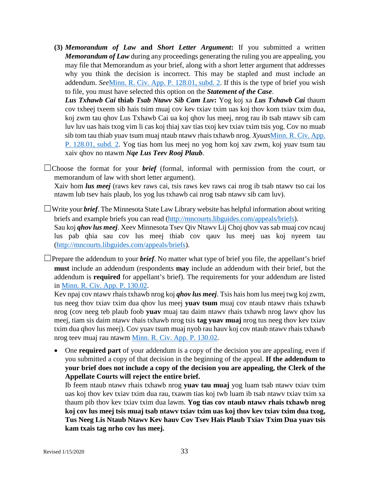**(3)** *Memorandum of Law* **and** *Short Letter Argument***:** If you submitted a written *Memorandum of Law* during any proceedings generating the ruling you are appealing, you may file that Memorandum as your brief, along with a short letter argument that addresses why you think the decision is incorrect. This may be stapled and must include an addendum. *See*[Minn. R. Civ. App. P. 128.01, subd. 2.](https://www.revisor.mn.gov/court_rules/ap/subtype/rcap/id/128/#128.01) If this is the type of brief you wish to file, you must have selected this option on the *Statement of the Case*.

*Lus Txhawb Cai* **thiab** *Tsab Ntawv Sib Cam Luv***:** Yog koj xa *Lus Txhawb Cai* thaum cov txheej txeem sib hais tsim muaj cov kev txiav txim uas koj thov kom txiav txim dua, koj zwm tau qhov Lus Txhawb Cai ua koj qhov lus meej, nrog rau ib tsab ntawv sib cam luv luv uas hais txog vim li cas koj thiaj xav tias txoj kev txiav txim tsis yog. Cov no muab sib tom tau thiab yuav tsum muaj ntaub ntawv rhais txhawb nrog. *Xyuas*[Minn. R. Civ. App.](https://www.revisor.mn.gov/court_rules/ap/subtype/rcap/id/128/#128.01)  [P. 128.01, subd. 2.](https://www.revisor.mn.gov/court_rules/ap/subtype/rcap/id/128/#128.01) Yog tias hom lus meej no yog hom koj xav zwm, koj yuav tsum tau xaiv qhov no ntawm *Nqe Lus Teev Rooj Plaub*.

 $\Box$ Choose the format for your *brief* (formal, informal with permission from the court, or memorandum of law with short letter argument). Xaiv hom *lus meej* (raws kev raws cai, tsis raws kev raws cai nrog ib tsab ntawv tso cai los ntawm lub tsev hais plaub, los yog lus txhawb cai nrog tsab ntawv sib cam luv).

☐Write your *brief*. The Minnesota State Law Library website has helpful information about writing briefs and example briefs you can read [\(http://mncourts.libguides.com/appeals/briefs\)](http://mncourts.libguides.com/appeals/briefs). Sau koj *qhov lus meej*. Xeev Minnesota Tsev Qiv Ntawv Lij Choj qhov vas sab muaj cov ncauj lus pab qhia sau cov lus meej thiab cov qauv lus meej uas koj nyeem tau [\(http://mncourts.libguides.com/appeals/briefs\)](http://mncourts.libguides.com/appeals/briefs).

 $\Box$ Prepare the addendum to your *brief*. No matter what type of brief you file, the appellant's brief **must** include an addendum (respondents **may** include an addendum with their brief, but the addendum is **required** for appellant's brief). The requirements for your addendum are listed in [Minn. R. Civ. App. P. 130.02.](https://www.revisor.mn.gov/court_rules/ap/subtype/rcap/id/130/#130.02)

Kev npaj cov ntawv rhais txhawb nrog koj *qhov lus meej*. Tsis hais hom lus meej twg koj zwm, tus neeg thov txiav txim dua qhov lus meej **yuav tsum** muaj cov ntaub ntawv rhais txhawb nrog (cov neeg teb plaub foob **yuav** muaj tau daim ntawv rhais txhawb nrog lawv qhov lus meej, tiam sis daim ntawv rhais txhawb nrog tsis **tag yuav muaj** nrog tus neeg thov kev txiav txim dua qhov lus meej). Cov yuav tsum muaj nyob rau hauv koj cov ntaub ntawv rhais txhawb nrog teev muaj rau ntawm [Minn. R. Civ. App. P. 130.02.](https://www.revisor.mn.gov/court_rules/ap/subtype/rcap/id/130/#130.02)

• One **required part** of your addendum is a copy of the decision you are appealing, even if you submitted a copy of that decision in the beginning of the appeal. **If the addendum to your brief does not include a copy of the decision you are appealing, the Clerk of the Appellate Courts will reject the entire brief.**

Ib feem ntaub ntawv rhais txhawb nrog **yuav tau muaj** yog luam tsab ntawv txiav txim uas koj thov kev txiav txim dua rau, txawm tias koj twb luam ib tsab ntawv txiav txim xa thaum pib thov kev txiav txim dua lawm. **Yog tias cov ntaub ntawv rhais txhawb nrog koj cov lus meej tsis muaj tsab ntawv txiav txim uas koj thov kev txiav txim dua txog, Tus Neeg Lis Ntaub Ntawv Kev hauv Cov Tsev Hais Plaub Txiav Txim Dua yuav tsis kam txais tag nrho cov lus meej.**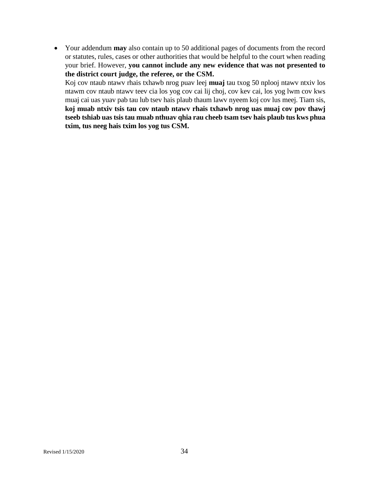• Your addendum **may** also contain up to 50 additional pages of documents from the record or statutes, rules, cases or other authorities that would be helpful to the court when reading your brief. However, **you cannot include any new evidence that was not presented to the district court judge, the referee, or the CSM.**

Koj cov ntaub ntawv rhais txhawb nrog puav leej **muaj** tau txog 50 nplooj ntawv ntxiv los ntawm cov ntaub ntawv teev cia los yog cov cai lij choj, cov kev cai, los yog lwm cov kws muaj cai uas yuav pab tau lub tsev hais plaub thaum lawv nyeem koj cov lus meej. Tiam sis, **koj muab ntxiv tsis tau cov ntaub ntawv rhais txhawb nrog uas muaj cov pov thawj tseeb tshiab uas tsis tau muab nthuav qhia rau cheeb tsam tsev hais plaub tus kws phua txim, tus neeg hais txim los yog tus CSM.**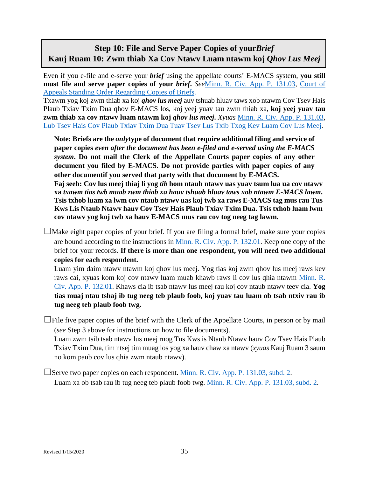# **Step 10: File and Serve Paper Copies of your***Brief* **Kauj Ruam 10: Zwm thiab Xa Cov Ntawv Luam ntawm koj** *Qhov Lus Meej*

Even if you e-file and e-serve your *brief* using the appellate courts' E-MACS system, **you still must file and serve paper copies of your** *brief***.** *See*[Minn. R. Civ. App. P. 131.03,](https://www.revisor.mn.gov/court_rules/ap/subtype/rcap/id/131/#131.03) [Court of](http://mncourts.gov/mncourtsgov/media/Appellate/Court%20of%20Appeals/ORADM108010-031014_1.pdf)  [Appeals Standing Order Regarding Copies of Briefs.](http://mncourts.gov/mncourtsgov/media/Appellate/Court%20of%20Appeals/ORADM108010-031014_1.pdf)

Txawm yog koj zwm thiab xa koj *qhov lus meej* auv tshuab hluav taws xob ntawm Cov Tsev Hais Plaub Txiav Txim Dua qhov E-MACS los, koj yeej yuav tau zwm thiab xa, **koj yeej yuav tau zwm thiab xa cov ntawv luam ntawm koj** *qhov lus meej***.** *Xyuas* [Minn. R. Civ. App. P. 131.03,](https://www.revisor.mn.gov/court_rules/ap/subtype/rcap/id/131/#131.03) [Lub Tsev Hais Cov Plaub Txiav Txim Dua Tuav Tsev Lus Txib Txog Kev Luam Cov Lus Meej.](http://mncourts.gov/mncourtsgov/media/Appellate/Court%20of%20Appeals/ORADM108010-031014_1.pdf)

**Note: Briefs are the** *only***type of document that require additional filing and service of paper copies** *even after the document has been e-filed and e-served using the E-MACS system***. Do not mail the Clerk of the Appellate Courts paper copies of any other document you filed by E-MACS. Do not provide parties with paper copies of any other documentif you served that party with that document by E-MACS.**

**Faj seeb: Cov lus meej thiaj li yog** *tib* **hom ntaub ntawv uas yuav tsum lua ua cov ntawv xa** *txawm tias twb muab zwm thiab xa hauv tshuab hluav taws xob ntawm E-MACS lawm***. Tsis txhob luam xa lwm cov ntaub ntawv uas koj twb xa raws E-MACS tag mus rau Tus Kws Lis Ntaub Ntawv hauv Cov Tsev Hais Plaub Txiav Txim Dua. Tsis txhob luam lwm cov ntawv yog koj twb xa hauv E-MACS mus rau cov tog neeg tag lawm.**

 $\Box$ Make eight paper copies of your brief. If you are filing a formal brief, make sure your copies are bound according to the instructions in [Minn. R. Civ. App. P. 132.01.](https://www.revisor.mn.gov/court_rules/ap/subtype/rcap/id/132/#132.01) Keep one copy of the brief for your records. **If there is more than one respondent, you will need two additional copies for each respondent.**

Luam yim daim ntawv ntawm koj qhov lus meej. Yog tias koj zwm qhov lus meej raws kev raws cai, xyuas kom koj cov ntawv luam muab khawb raws li cov lus qhia ntawm [Minn. R.](https://www.revisor.mn.gov/court_rules/ap/subtype/rcap/id/132/#132.01)  [Civ. App. P. 132.01.](https://www.revisor.mn.gov/court_rules/ap/subtype/rcap/id/132/#132.01) Khaws cia ib tsab ntawv lus meej rau koj cov ntaub ntawv teev cia. **Yog tias muaj ntau tshaj ib tug neeg teb plaub foob, koj yuav tau luam ob tsab ntxiv rau ib tug neeg teb plaub foob twg.**

 $\Box$ File five paper copies of the brief with the Clerk of the Appellate Courts, in person or by mail (*see* Step 3 above for instructions on how to file documents).

Luam zwm tsib tsab ntawv lus meej rnog Tus Kws is Ntaub Ntawv hauv Cov Tsev Hais Plaub Txiav Txim Dua, tim ntsej tim muag los yog xa hauv chaw xa ntawv (*xyuas* Kauj Ruam 3 saum no kom paub cov lus qhia zwm ntaub ntawv).

☐Serve two paper copies on each respondent. [Minn. R. Civ. App. P. 131.03, subd. 2.](https://www.revisor.mn.gov/court_rules/ap/subtype/rcap/id/131/#131.03) Luam xa ob tsab rau ib tug neeg teb plaub foob twg. [Minn. R. Civ. App. P. 131.03, subd. 2.](https://www.revisor.mn.gov/court_rules/ap/subtype/rcap/id/131/#131.03)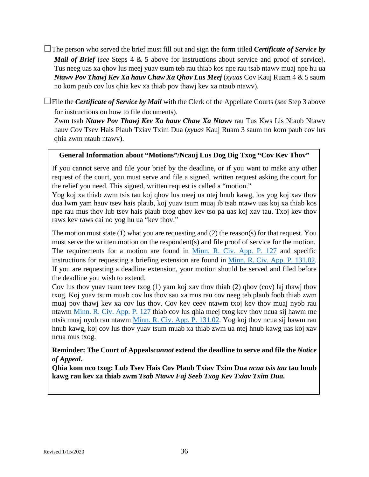- ☐The person who served the brief must fill out and sign the form titled *Certificate of Service by Mail of Brief* (*see* Steps 4 & 5 above for instructions about service and proof of service). Tus neeg uas xa qhov lus meej yuav tsum teb rau thiab kos npe rau tsab ntawv muaj npe hu ua *Ntawv Pov Thawj Kev Xa hauv Chaw Xa Qhov Lus Meej* (*xyuas* Cov Kauj Ruam 4 & 5 saum no kom paub cov lus qhia kev xa thiab pov thawj kev xa ntaub ntawv).
- ☐File the *Certificate of Service by Mail* with the Clerk of the Appellate Courts (*see* Step 3 above for instructions on how to file documents).

Zwm tsab *Ntawv Pov Thawj Kev Xa hauv Chaw Xa Ntawv* rau Tus Kws Lis Ntaub Ntawv hauv Cov Tsev Hais Plaub Txiav Txim Dua (*xyuas* Kauj Ruam 3 saum no kom paub cov lus qhia zwm ntaub ntawv).

#### **General Information about "Motions"/Ncauj Lus Dog Dig Txog "Cov Kev Thov"**

If you cannot serve and file your brief by the deadline, or if you want to make any other request of the court, you must serve and file a signed, written request asking the court for the relief you need. This signed, written request is called a "motion."

Yog koj xa thiab zwm tsis tau koj qhov lus meej ua ntej hnub kawg, los yog koj xav thov dua lwm yam hauv tsev hais plaub, koj yuav tsum muaj ib tsab ntawv uas koj xa thiab kos npe rau mus thov lub tsev hais plaub txog qhov kev tso pa uas koj xav tau. Txoj kev thov raws kev raws cai no yog hu ua "kev thov."

The motion must state (1) what you are requesting and (2) the reason(s) for that request. You must serve the written motion on the respondent(s) and file proof of service for the motion. The requirements for a motion are found in [Minn. R. Civ. App. P. 127](https://www.revisor.mn.gov/court_rules/ap/subtype/rcap/id/127/) and specific instructions for requesting a briefing extension are found in [Minn. R. Civ. App. P. 131.02.](https://www.revisor.mn.gov/court_rules/ap/subtype/rcap/id/131/#131.02) If you are requesting a deadline extension, your motion should be served and filed before the deadline you wish to extend.

Cov lus thov yuav tsum teev txog (1) yam koj xav thov thiab (2) qhov (cov) laj thawj thov txog. Koj yuav tsum muab cov lus thov sau xa mus rau cov neeg teb plaub foob thiab zwm muaj pov thawj kev xa cov lus thov. Cov kev ceev ntawm txoj kev thov muaj nyob rau ntawm [Minn. R. Civ. App. P. 127](https://www.revisor.mn.gov/court_rules/ap/subtype/rcap/id/127/) thiab cov lus qhia meej txog kev thov ncua sij hawm me ntsis muaj nyob rau ntawm [Minn. R. Civ. App. P. 131.02.](https://www.revisor.mn.gov/court_rules/ap/subtype/rcap/id/131/#131.02) Yog koj thov ncua sij hawm rau hnub kawg, koj cov lus thov yuav tsum muab xa thiab zwm ua ntej hnub kawg uas koj xav ncua mus txog.

#### **Reminder: The Court of Appeals***cannot* **extend the deadline to serve and file the** *Notice of Appeal***.**

**Qhia kom nco txog: Lub Tsev Hais Cov Plaub Txiav Txim Dua** *ncua tsis tau* **tau hnub kawg rau kev xa thiab zwm** *Tsab Ntawv Faj Seeb Txog Kev Txiav Txim Dua***.**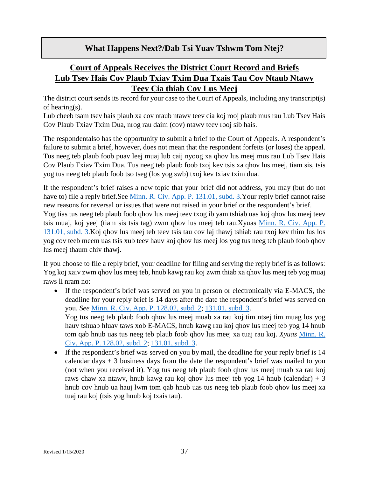## **What Happens Next?/Dab Tsi Yuav Tshwm Tom Ntej?**

# **Court of Appeals Receives the District Court Record and Briefs Lub Tsev Hais Cov Plaub Txiav Txim Dua Txais Tau Cov Ntaub Ntawv Teev Cia thiab Cov Lus Meej**

The district court sends its record for your case to the Court of Appeals, including any transcript(s) of hearing(s).

Lub cheeb tsam tsev hais plaub xa cov ntaub ntawv teev cia koj rooj plaub mus rau Lub Tsev Hais Cov Plaub Txiav Txim Dua, nrog rau daim (cov) ntawv teev rooj sib hais.

The respondentalso has the opportunity to submit a brief to the Court of Appeals. A respondent's failure to submit a brief, however, does not mean that the respondent forfeits (or loses) the appeal. Tus neeg teb plaub foob puav leej muaj lub caij nyoog xa qhov lus meej mus rau Lub Tsev Hais Cov Plaub Txiav Txim Dua. Tus neeg teb plaub foob txoj kev tsis xa qhov lus meej, tiam sis, tsis yog tus neeg teb plaub foob tso tseg (los yog swb) txoj kev txiav txim dua.

If the respondent's brief raises a new topic that your brief did not address, you may (but do not have to) file a reply brief.See [Minn. R. Civ. App. P. 131.01, subd. 3.](https://www.revisor.mn.gov/court_rules/ap/subtype/rcap/id/131/#131.01) Your reply brief cannot raise new reasons for reversal or issues that were not raised in your brief or the respondent's brief.

Yog tias tus neeg teb plaub foob qhov lus meej teev txog ib yam tshiab uas koj qhov lus meej teev tsis muaj, koj yeej (tiam sis tsis tag) zwm qhov lus meej teb rau.Xyuas [Minn. R. Civ. App. P.](https://www.revisor.mn.gov/court_rules/ap/subtype/rcap/id/131/#131.01)  [131.01, subd. 3.](https://www.revisor.mn.gov/court_rules/ap/subtype/rcap/id/131/#131.01)Koj qhov lus meej teb teev tsis tau cov laj thawj tshiab rau txoj kev thim lus los yog cov teeb meem uas tsis xub teev hauv koj qhov lus meej los yog tus neeg teb plaub foob qhov lus meej thaum chiv thawj.

If you choose to file a reply brief, your deadline for filing and serving the reply brief is as follows: Yog koj xaiv zwm qhov lus meej teb, hnub kawg rau koj zwm thiab xa qhov lus meej teb yog muaj raws li nram no:

- If the respondent's brief was served on you in person or electronically via E-MACS, the deadline for your reply brief is 14 days after the date the respondent's brief was served on you. *See* [Minn. R. Civ. App. P. 128.02, subd. 2;](https://www.revisor.mn.gov/court_rules/ap/subtype/rcap/id/128/#128.02) [131.01, subd. 3.](https://www.revisor.mn.gov/court_rules/ap/subtype/rcap/id/131/#131.01) Yog tus neeg teb plaub foob qhov lus meej muab xa rau koj tim ntsej tim muag los yog hauv tshuab hluav taws xob E-MACS, hnub kawg rau koj qhov lus meej teb yog 14 hnub tom qab hnub uas tus neeg teb plaub foob qhov lus meej xa tuaj rau koj. *Xyuas* [Minn. R.](https://www.revisor.mn.gov/court_rules/ap/subtype/rcap/id/128/#128.02)  [Civ. App. P. 128.02, subd. 2;](https://www.revisor.mn.gov/court_rules/ap/subtype/rcap/id/128/#128.02) [131.01, subd. 3.](https://www.revisor.mn.gov/court_rules/ap/subtype/rcap/id/131/#131.01)
- If the respondent's brief was served on you by mail, the deadline for your reply brief is 14 calendar days  $+3$  business days from the date the respondent's brief was mailed to you (not when you received it). Yog tus neeg teb plaub foob qhov lus meej muab xa rau koj raws chaw xa ntawy, hnub kawg rau koj qhov lus meej teb yog 14 hnub (calendar) + 3 hnub cov hnub ua hauj lwm tom qab hnub uas tus neeg teb plaub foob qhov lus meej xa tuaj rau koj (tsis yog hnub koj txais tau).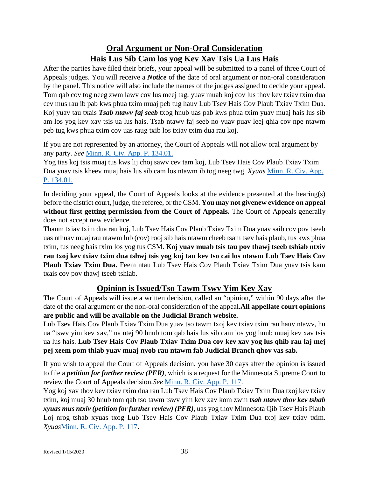# **Oral Argument or Non-Oral Consideration Hais Lus Sib Cam los yog Kev Xav Tsis Ua Lus Hais**

After the parties have filed their briefs, your appeal will be submitted to a panel of three Court of Appeals judges. You will receive a *Notice* of the date of oral argument or non-oral consideration by the panel. This notice will also include the names of the judges assigned to decide your appeal. Tom qab cov tog neeg zwm lawv cov lus meej tag, yuav muab koj cov lus thov kev txiav txim dua cev mus rau ib pab kws phua txim muaj peb tug hauv Lub Tsev Hais Cov Plaub Txiav Txim Dua. Koj yuav tau txais *Tsab ntawv faj seeb* txog hnub uas pab kws phua txim yuav muaj hais lus sib am los yog kev xav tsis ua lus hais. Tsab ntawv faj seeb no yuav puav leej qhia cov npe ntawm peb tug kws phua txim cov uas raug txib los txiav txim dua rau koj.

If you are not represented by an attorney, the Court of Appeals will not allow oral argument by any party. *See* [Minn. R. Civ. App. P. 134.01.](https://www.revisor.mn.gov/court_rules/ap/subtype/rcap/id/134/)

Yog tias koj tsis muaj tus kws lij choj sawv cev tam koj, Lub Tsev Hais Cov Plaub Txiav Txim Dua yuav tsis kheev muaj hais lus sib cam los ntawm ib tog neeg twg. *Xyuas* [Minn. R. Civ. App.](https://www.revisor.mn.gov/court_rules/ap/subtype/rcap/id/134/)  [P. 134.01.](https://www.revisor.mn.gov/court_rules/ap/subtype/rcap/id/134/)

In deciding your appeal, the Court of Appeals looks at the evidence presented at the hearing(s) before the district court, judge, the referee, or the CSM. **You may not givenew evidence on appeal without first getting permission from the Court of Appeals.** The Court of Appeals generally does not accept new evidence.

Thaum txiav txim dua rau koj, Lub Tsev Hais Cov Plaub Txiav Txim Dua yuav saib cov pov tseeb uas nthuav muaj rau ntawm lub (cov) rooj sib hais ntawm cheeb tsam tsev hais plaub, tus kws phua txim, tus neeg hais txim los yog tus CSM. **Koj yuav muab tsis tau pov thawj tseeb tshiab ntxiv rau txoj kev txiav txim dua tshwj tsis yog koj tau kev tso cai los ntawm Lub Tsev Hais Cov Plaub Txiav Txim Dua.** Feem ntau Lub Tsev Hais Cov Plaub Txiav Txim Dua yuav tsis kam txais cov pov thawj tseeb tshiab.

# **Opinion is Issued/Tso Tawm Tswv Yim Kev Xav**

The Court of Appeals will issue a written decision, called an "opinion," within 90 days after the date of the oral argument or the non-oral consideration of the appeal.**All appellate court opinions are public and will be available on the Judicial Branch website.**

Lub Tsev Hais Cov Plaub Txiav Txim Dua yuav tso tawm txoj kev txiav txim rau hauv ntawv, hu ua "tswv yim kev xav," ua ntej 90 hnub tom qab hais lus sib cam los yog hnub muaj kev xav tsis ua lus hais. **Lub Tsev Hais Cov Plaub Txiav Txim Dua cov kev xav yog lus qhib rau laj mej pej xeem pom thiab yuav muaj nyob rau ntawm fab Judicial Branch qhov vas sab.**

If you wish to appeal the Court of Appeals decision, you have 30 days after the opinion is issued to file a *petition for further review (PFR)*, which is a request for the Minnesota Supreme Court to review the Court of Appeals decision.*See* [Minn. R. Civ. App. P. 117.](https://www.revisor.mn.gov/court_rules/ap/subtype/rcap/id/117/)

Yog koj xav thov kev txiav txim dua rau Lub Tsev Hais Cov Plaub Txiav Txim Dua txoj kev txiav txim, koj muaj 30 hnub tom qab tso tawm tswv yim kev xav kom zwm *tsab ntawv thov kev tshab xyuas mus ntxiv (petition for further review) (PFR)*, uas yog thov Minnesota Qib Tsev Hais Plaub Loj nrog tshab xyuas txog Lub Tsev Hais Cov Plaub Txiav Txim Dua txoj kev txiav txim. *Xyuas*[Minn. R. Civ. App. P. 117.](https://www.revisor.mn.gov/court_rules/ap/subtype/rcap/id/117/)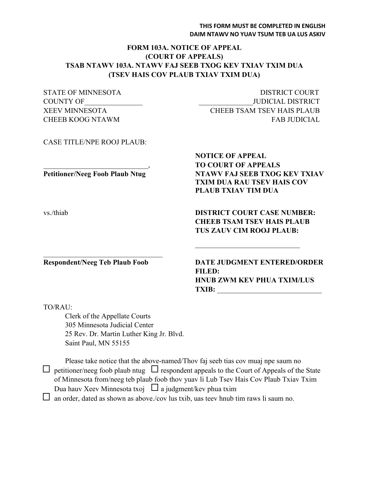#### **THIS FORM MUST BE COMPLETED IN ENGLISH DAIM NTAWV NO YUAV TSUM TEB UA LUS ASKIV**

#### **FORM 103A. NOTICE OF APPEAL (COURT OF APPEALS) TSAB NTAWV 103A. NTAWV FAJ SEEB TXOG KEV TXIAV TXIM DUA (TSEV HAIS COV PLAUB TXIAV TXIM DUA)**

| <b>STATE OF MINNESOTA</b>              | <b>DISTRICT COURT</b>              |
|----------------------------------------|------------------------------------|
| <b>COUNTY OF</b>                       | <b>JUDICIAL DISTRICT</b>           |
| <b>XEEV MINNESOTA</b>                  | <b>CHEEB TSAM TSEV HAIS PLAUB</b>  |
| <b>CHEEB KOOG NTAWM</b>                | <b>FAB JUDICIAL</b>                |
| <b>CASE TITLE/NPE ROOJ PLAUB:</b>      |                                    |
|                                        | <b>NOTICE OF APPEAL</b>            |
|                                        | <b>TO COURT OF APPEALS</b>         |
| <b>Petitioner/Neeg Foob Plaub Ntug</b> | NTAWV FAJ SEEB TXOG KEV TXIAV      |
|                                        | <b>TXIM DUA RAU TSEV HAIS COV</b>  |
|                                        | <b>PLAUB TXIAV TIM DUA</b>         |
| vs./thiab                              | <b>DISTRICT COURT CASE NUMBER:</b> |
|                                        | <b>CHEEB TSAM TSEV HAIS PLAUB</b>  |
|                                        | <b>TUS ZAUV CIM ROOJ PLAUB:</b>    |
|                                        |                                    |
| <b>Respondent/Neeg Teb Plaub Foob</b>  | <b>DATE JUDGMENT ENTERED/ORDER</b> |

**FILED: HNUB ZWM KEV PHUA TXIM/LUS TXIB:** 

#### TO/RAU:

Clerk of the Appellate Courts 305 Minnesota Judicial Center 25 Rev. Dr. Martin Luther King Jr. Blvd. Saint Paul, MN 55155

Please take notice that the above-named/Thov faj seeb tias cov muaj npe saum no  $\Box$  petitioner/neeg foob plaub ntug  $\Box$  respondent appeals to the Court of Appeals of the State of Minnesota from/neeg teb plaub foob thov yuav li Lub Tsev Hais Cov Plaub Txiav Txim Dua hauv Xeev Minnesota txoj  $\Box$  a judgment/kev phua txim

 $\Box$  an order, dated as shown as above./cov lus txib, uas teev hnub tim raws li saum no.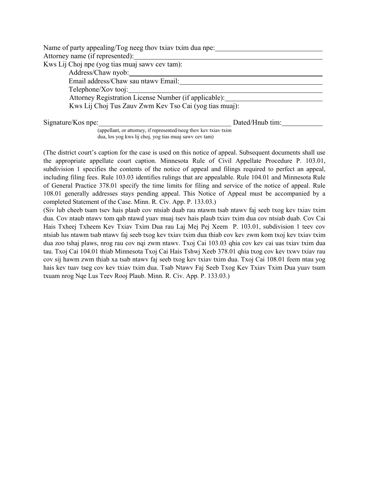| Name of party appealing/Tog neeg thov txiav txim dua npe: |                 |  |
|-----------------------------------------------------------|-----------------|--|
| Attorney name (if represented):                           |                 |  |
| Kws Lij Choj npe (yog tias muaj sawy cev tam):            |                 |  |
| Address/Chaw nyob:                                        |                 |  |
| Email address/Chaw sau ntawy Email:                       |                 |  |
| Telephone/Xov tooj:                                       |                 |  |
| Attorney Registration License Number (if applicable):     |                 |  |
| Kws Lij Choj Tus Zauv Zwm Kev Tso Cai (yog tias muaj):    |                 |  |
| Signature/Kos npe:                                        | Dated/Hnub tim: |  |

(appellant, or attorney, if represented/neeg thov kev txiav txim dua, los yog kws lij choj, yog tias muaj sawv cev tam)

(The district court's caption for the case is used on this notice of appeal. Subsequent documents shall use the appropriate appellate court caption. Minnesota Rule of Civil Appellate Procedure P. 103.01, subdivision 1 specifies the contents of the notice of appeal and filings required to perfect an appeal, including filing fees. Rule 103.03 identifies rulings that are appealable. Rule 104.01 and Minnesota Rule of General Practice 378.01 specify the time limits for filing and service of the notice of appeal. Rule 108.01 generally addresses stays pending appeal. This Notice of Appeal must be accompanied by a completed Statement of the Case. Minn. R. Civ. App. P. 133.03.)

(Siv lub cheeb tsam tsev hais plaub cov ntsiab duab rau ntawm tsab ntawv faj seeb txog kev txiav txim dua. Cov ntaub ntawv tom qab ntawd yuav muaj tsev hais plaub txiav txim dua cov ntsiab duab. Cov Cai Hais Txheej Txheem Kev Txiav Txim Dua rau Laj Mej Pej Xeem P. 103.01, subdivision 1 teev cov ntsiab lus ntawm tsab ntawv faj seeb txog kev txiav txim dua thiab cov kev zwm kom txoj kev txiav txim dua zoo tshaj plaws, nrog rau cov nqi zwm ntawv. Txoj Cai 103.03 qhia cov kev cai uas txiav txim dua tau. Txoj Cai 104.01 thiab Minnesota Txoj Cai Hais Tshwj Xeeb 378.01 qhia txog cov kev txwv txiav rau cov sij hawm zwm thiab xa tsab ntawv faj seeb txog kev txiav txim dua. Txoj Cai 108.01 feem ntau yog hais kev tuav tseg cov kev txiav txim dua. Tsab Ntawv Faj Seeb Txog Kev Txiav Txim Dua yuav tsum txuam nrog Nqe Lus Teev Rooj Plaub. Minn. R. Civ. App. P. 133.03.)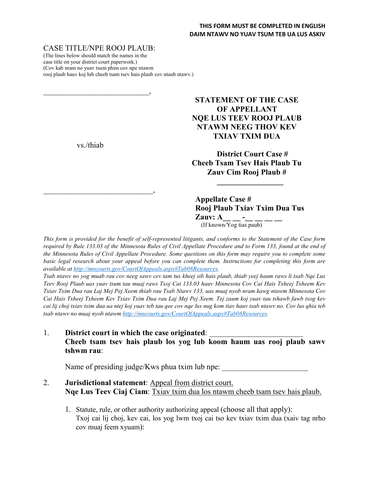#### CASE TITLE/NPE ROOJ PLAUB:

\_\_\_\_\_\_\_\_\_\_\_\_\_\_\_\_\_\_\_\_\_\_\_\_\_\_\_,

(The lines below should match the names in the case title on your district court paperwork.) (Cov kab nram no yuav tsum phim cov npe ntawm rooj plaub hauv koj lub cheeb tsam tsev hais plaub cov ntaub ntawv.)

### **STATEMENT OF THE CASE OF APPELLANT NQE LUS TEEV ROOJ PLAUB NTAWM NEEG THOV KEV TXIAV TXIM DUA**

**District Court Case # Cheeb Tsam Tsev Hais Plaub Tu Zauv Cim Rooj Plaub #**

**Appellate Case # Rooj Plaub Txiav Txim Dua Tus Zauv:**  $\mathbf{A}_{\text{(If known/Yog tias paul)}}$ 

**\_\_\_\_\_\_\_\_\_\_\_\_\_\_\_\_\_**

*This form is provided for the benefit of self-represented litigants, and conforms to the Statement of the Case form required by Rule 133.03 of the Minnesota Rules of Civil Appellate Procedure and to Form 133, found at the end of the Minnesota Rules of Civil Appellate Procedure. Some questions on this form may require you to complete some basic legal research about your appeal before you can complete them. Instructions for completing this form are available at http://mncourts.gov/CourtOfAppeals.aspx#Tab08Resources.* 

*Tsab ntawv no yog muab rau cov neeg sawv cev tam tus kheej sib hais plaub, thiab yeej haum raws li tsab Nqe Lus Teev Rooj Plaub uas yuav tsum tau muaj raws Txoj Cai 133.03 hauv Minnesota Cov Cai Hais Txheej Txheem Kev Txiav Txim Dua rau Laj Mej Pej Xeem thiab rau Tsab Ntawv 133, uas muaj nyob nram kawg ntawm Minnesota Cov Cai Hais Txheej Txheem Kev Txiav Txim Dua rau Laj Mej Pej Xeem. Tej zaum koj yuav tau tshawb fawb txog kev cai lij choj txiav txim dua ua ntej koj yuav teb tau qee cov nqe lus nug kom tiav hauv tsab ntawv no. Cov lus qhia teb tsab ntawv no muaj nyob ntawm http://mncourts.gov/CourtOfAppeals.aspx#Tab08Resources.*

1. **District court in which the case originated: Cheeb tsam tsev hais plaub los yog lub koom haum uas rooj plaub sawv tshwm rau**:

Name of presiding judge/Kws phua txim lub npe:

#### 2. **Jurisdictional statement**: Appeal from district court. **Nqe Lus Teev Ciaj Ciam**: Txiav txim dua los ntawm cheeb tsam tsev hais plaub.

1. Statute, rule, or other authority authorizing appeal (choose all that apply): Txoj cai lij choj, kev cai, los yog lwm txoj cai tso kev txiav txim dua (xaiv tag nrho cov muaj feem xyuam):

vs./thiab

 $\overline{\phantom{a}}$  , and the contract of the contract of the contract of the contract of the contract of the contract of the contract of the contract of the contract of the contract of the contract of the contract of the contrac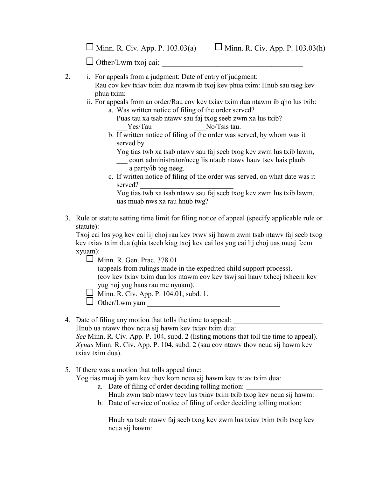$\Box$  Minn. R. Civ. App. P. 103.03(a)  $\Box$  Minn. R. Civ. App. P. 103.03(h)

 $\Box$  Other/Lwm txoj cai:

- 2. i. For appeals from a judgment: Date of entry of judgment:
	- Rau cov kev txiav txim dua ntawm ib txoj kev phua txim: Hnub sau tseg kev phua txim:
	- ii. For appeals from an order/Rau cov kev txiav txim dua ntawm ib qho lus txib:
		- a. Was written notice of filing of the order served?

Puas tau xa tsab ntawv sau faj txog seeb zwm xa lus txib? Yes/Tau No/Tsis tau.

b. If written notice of filing of the order was served, by whom was it served by

Yog tias twb xa tsab ntawv sau faj seeb txog kev zwm lus txib lawm,

- \_\_\_ court administrator/neeg lis ntaub ntawv hauv tsev hais plaub a party/ib tog neeg.
- c. If written notice of filing of the order was served, on what date was it served?

Yog tias twb xa tsab ntawv sau faj seeb txog kev zwm lus txib lawm, uas muab nws xa rau hnub twg?

3. Rule or statute setting time limit for filing notice of appeal (specify applicable rule or statute):

Txoj cai los yog kev cai lij choj rau kev txwv sij hawm zwm tsab ntawv faj seeb txog kev txiav txim dua (qhia tseeb kiag txoj kev cai los yog cai lij choj uas muaj feem xyuam):

**Minn. R. Gen. Prac. 378.01** 

(appeals from rulings made in the expedited child support process). (cov kev txiav txim dua los ntawm cov kev tswj sai hauv txheej txheem kev yug noj yug haus rau me nyuam).

Minn. R. Civ. App. P. 104.01, subd. 1.

 $\Box$  Other/Lwm yam

4. Date of filing any motion that tolls the time to appeal:

Hnub ua ntawv thov ncua sij hawm kev txiav txim dua: *See* Minn. R. Civ. App. P. 104, subd. 2 (listing motions that toll the time to appeal). *Xyuas* Minn. R. Civ. App. P. 104, subd. 2 (sau cov ntawv thov ncua sij hawm kev txiav txim dua).

#### 5. If there was a motion that tolls appeal time:

Yog tias muaj ib yam kev thov kom ncua sij hawm kev txiav txim dua:

- a. Date of filing of order deciding tolling motion: Hnub zwm tsab ntawv teev lus txiav txim txib txog kev ncua sij hawm:
- b. Date of service of notice of filing of order deciding tolling motion:

Hnub xa tsab ntawv faj seeb txog kev zwm lus txiav txim txib txog kev ncua sij hawm: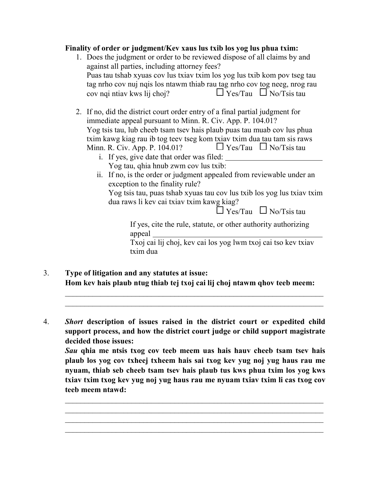#### **Finality of order or judgment/Kev xaus lus txib los yog lus phua txim:**

- 1. Does the judgment or order to be reviewed dispose of all claims by and against all parties, including attorney fees? Puas tau tshab xyuas cov lus txiav txim los yog lus txib kom pov tseg tau tag nrho cov nuj nqis los ntawm thiab rau tag nrho cov tog neeg, nrog rau cov ngi ntiav kws lij choj?  $\Box$  Yes/Tau  $\Box$  No/Tsis tau
- 2. If no, did the district court order entry of a final partial judgment for immediate appeal pursuant to Minn. R. Civ. App. P. 104.01? Yog tsis tau, lub cheeb tsam tsev hais plaub puas tau muab cov lus phua txim kawg kiag rau ib tog teev tseg kom txiav txim dua tau tam sis raws Minn. R. Civ. App. P. 104.01?  $\Box$  Yes/Tau  $\Box$  No/Tsis tau
	- i. If yes, give date that order was filed: Yog tau, qhia hnub zwm cov lus txib:
	- ii. If no, is the order or judgment appealed from reviewable under an exception to the finality rule?

Yog tsis tau, puas tshab xyuas tau cov lus txib los yog lus txiav txim dua raws li kev cai txiav txim kawg kiag?

 $\overline{\Box}$  Yes/Tau  $\Box$  No/Tsis tau

If yes, cite the rule, statute, or other authority authorizing appeal

Txoj cai lij choj, kev cai los yog lwm txoj cai tso kev txiav txim dua

- 3. **Type of litigation and any statutes at issue: Hom kev hais plaub ntug thiab tej txoj cai lij choj ntawm qhov teeb meem:**
- 4. *Short* **description of issues raised in the district court or expedited child support process, and how the district court judge or child support magistrate decided those issues:**

*Sau* **qhia me ntsis txog cov teeb meem uas hais hauv cheeb tsam tsev hais plaub los yog cov txheej txheem hais sai txog kev yug noj yug haus rau me nyuam, thiab seb cheeb tsam tsev hais plaub tus kws phua txim los yog kws txiav txim txog kev yug noj yug haus rau me nyuam txiav txim li cas txog cov teeb meem ntawd:**

 $\_$  , and the set of the set of the set of the set of the set of the set of the set of the set of the set of the set of the set of the set of the set of the set of the set of the set of the set of the set of the set of th  $\_$  , and the set of the set of the set of the set of the set of the set of the set of the set of the set of the set of the set of the set of the set of the set of the set of the set of the set of the set of the set of th  $\_$  , and the set of the set of the set of the set of the set of the set of the set of the set of the set of the set of the set of the set of the set of the set of the set of the set of the set of the set of the set of th  $\_$  , and the set of the set of the set of the set of the set of the set of the set of the set of the set of the set of the set of the set of the set of the set of the set of the set of the set of the set of the set of th

 $\mathcal{L}_\text{max}$  and  $\mathcal{L}_\text{max}$  and  $\mathcal{L}_\text{max}$  and  $\mathcal{L}_\text{max}$  and  $\mathcal{L}_\text{max}$  and  $\mathcal{L}_\text{max}$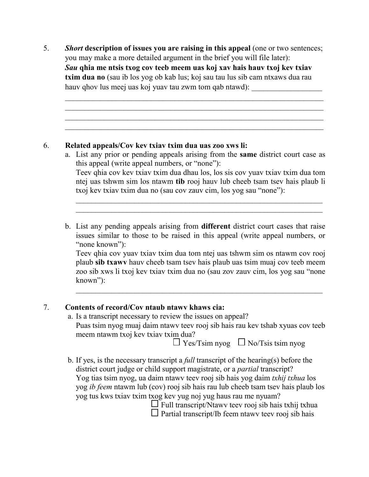5. *Short* **description of issues you are raising in this appeal** (one or two sentences; you may make a more detailed argument in the brief you will file later): *Sau* **qhia me ntsis txog cov teeb meem uas koj xav hais hauv txoj kev txiav txim dua no** (sau ib los yog ob kab lus; koj sau tau lus sib cam ntxaws dua rau hauv qhov lus meej uas koj yuav tau zwm tom qab ntawd):

 $\_$  , and the set of the set of the set of the set of the set of the set of the set of the set of the set of the set of the set of the set of the set of the set of the set of the set of the set of the set of the set of th  $\mathcal{L}_\text{max}$  and  $\mathcal{L}_\text{max}$  and  $\mathcal{L}_\text{max}$  and  $\mathcal{L}_\text{max}$  and  $\mathcal{L}_\text{max}$  and  $\mathcal{L}_\text{max}$  $\_$  , and the set of the set of the set of the set of the set of the set of the set of the set of the set of the set of the set of the set of the set of the set of the set of the set of the set of the set of the set of th  $\_$  , and the set of the set of the set of the set of the set of the set of the set of the set of the set of the set of the set of the set of the set of the set of the set of the set of the set of the set of the set of th

#### 6. **Related appeals/Cov kev txiav txim dua uas zoo xws li:**

a. List any prior or pending appeals arising from the **same** district court case as this appeal (write appeal numbers, or "none"): Teev qhia cov kev txiav txim dua dhau los, los sis cov yuav txiav txim dua tom ntej uas tshwm sim los ntawm **tib** rooj hauv lub cheeb tsam tsev hais plaub li txoj kev txiav txim dua no (sau cov zauv cim, los yog sau "none"):

\_\_\_\_\_\_\_\_\_\_\_\_\_\_\_\_\_\_\_\_\_\_\_\_\_\_\_\_\_\_\_\_\_\_\_\_\_\_\_\_\_\_\_\_\_\_\_\_\_\_\_\_\_\_\_\_\_\_\_\_\_\_\_ \_\_\_\_\_\_\_\_\_\_\_\_\_\_\_\_\_\_\_\_\_\_\_\_\_\_\_\_\_\_\_\_\_\_\_\_\_\_\_\_\_\_\_\_\_\_\_\_\_\_\_\_\_\_\_\_\_\_\_\_\_\_\_

b. List any pending appeals arising from **different** district court cases that raise issues similar to those to be raised in this appeal (write appeal numbers, or "none known":

Teev qhia cov yuav txiav txim dua tom ntej uas tshwm sim os ntawm cov rooj plaub **sib txawv** hauv cheeb tsam tsev hais plaub uas tsim muaj cov teeb meem zoo sib xws li txoj kev txiav txim dua no (sau zov zauv cim, los yog sau "none known"):

\_\_\_\_\_\_\_\_\_\_\_\_\_\_\_\_\_\_\_\_\_\_\_\_\_\_\_\_\_\_\_\_\_\_\_\_\_\_\_\_\_\_\_\_\_\_\_\_\_\_\_\_\_\_\_\_\_\_\_\_\_\_\_

## 7. **Contents of record/Cov ntaub ntawv khaws cia:**

a. Is a transcript necessary to review the issues on appeal? Puas tsim nyog muaj daim ntawv teev rooj sib hais rau kev tshab xyuas cov teeb meem ntawm txoj kev txiav txim dua?

 $\Box$  Yes/Tsim nyog  $\Box$  No/Tsis tsim nyog

b. If yes, is the necessary transcript a *full* transcript of the hearing(s) before the district court judge or child support magistrate, or a *partial* transcript? Yog tias tsim nyog, ua daim ntawv teev rooj sib hais yog daim *txhij txhua* los yog *ib feem* ntawm lub (cov) rooj sib hais rau lub cheeb tsam tsev hais plaub los yog tus kws txiav txim txog kev yug noj yug haus rau me nyuam?

 $\Box$  Full transcript/Ntawv teev rooj sib hais txhij txhua  $\square$  Partial transcript/Ib feem ntawy teev rooj sib hais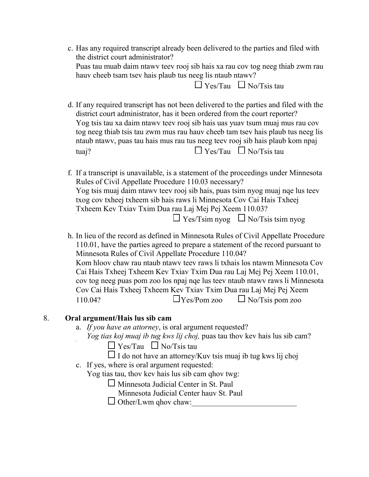c. Has any required transcript already been delivered to the parties and filed with the district court administrator? Puas tau muab daim ntawv teev rooj sib hais xa rau cov tog neeg thiab zwm rau hauv cheeb tsam tsev hais plaub tus neeg lis ntaub ntawv?  $\Box$  Yes/Tau  $\Box$  No/Tsis tau

d. If any required transcript has not been delivered to the parties and filed with the district court administrator, has it been ordered from the court reporter? Yog tsis tau xa daim ntawv teev rooj sib hais uas yuav tsum muaj mus rau cov tog neeg thiab tsis tau zwm mus rau hauv cheeb tam tsev hais plaub tus neeg lis ntaub ntawv, puas tau hais mus rau tus neeg teev rooj sib hais plaub kom npaj e. tuaj?  $\Box$  Yes/Tau  $\Box$  No/Tsis tau

f. If a transcript is unavailable, is a statement of the proceedings under Minnesota Rules of Civil Appellate Procedure 110.03 necessary? Yog tsis muaj daim ntawv teev rooj sib hais, puas tsim nyog muaj nqe lus teev txog cov txheej txheem sib hais raws li Minnesota Cov Cai Hais Txheej Txheem Kev Txiav Txim Dua rau Laj Mej Pej Xeem 110.03?  $\Box$  Yes/Tsim nyog  $\Box$  No/Tsis tsim nyog

h. In lieu of the record as defined in Minnesota Rules of Civil Appellate Procedure 110.01, have the parties agreed to prepare a statement of the record pursuant to Minnesota Rules of Civil Appellate Procedure 110.04? Kom hloov chaw rau ntaub ntawv teev raws li txhais los ntawm Minnesota Cov Cai Hais Txheej Txheem Kev Txiav Txim Dua rau Laj Mej Pej Xeem 110.01, cov tog neeg puas pom zoo los npaj nqe lus teev ntaub ntawv raws li Minnesota Cov Cai Hais Txheej Txheem Kev Txiav Txim Dua rau Laj Mej Pej Xeem 110.04?  $\Box$  Yes/Pom zoo  $\Box$  No/Tsis pom zoo

#### 8. **Oral argument/Hais lus sib cam**

- a. *If you have an attorney*, is oral argument requested?
	- *Yog tias koj muaj ib tug kws lij choj,* puas tau thov kev hais lus sib cam?

 $\Box$  Yes/Tau  $\Box$  No/Tsis tau

- $\Box$  I do not have an attorney/Kuv tsis muaj ib tug kws lij choj
- c. If yes, where is oral argument requested:

Yog tias tau, thov kev hais lus sib cam qhov twg:

- Minnesota Judicial Center in St. Paul
	- Minnesota Judicial Center hauv St. Paul
- $\Box$  Other/Lwm ghov chaw: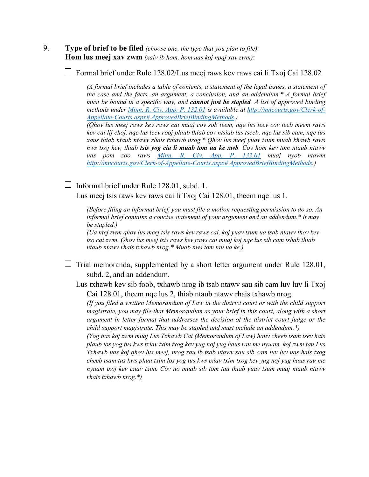9. **Type of brief to be filed** *(choose one, the type that you plan to file):* **Hom lus meej xav zwm** *(xaiv ib hom, hom uas koj npaj xav zwm)*:

 $\Box$  Formal brief under Rule 128.02/Lus meej raws kev raws cai li Txoj Cai 128.02

*(A formal brief includes a table of contents, a statement of the legal issues, a statement of the case and the facts, an argument, a conclusion, and an addendum.\* A formal brief must be bound in a specific way, and cannot just be stapled. A list of approved binding methods under [Minn. R. Civ. App. P. 132.01](https://www.revisor.mn.gov/court_rules/ap/subtype/rcap/id/132/#132.01) is available at [http://mncourts.gov/Clerk-of-](http://mncourts.gov/Clerk-of-Appellate-Courts.aspx#%20ApprovedBriefBindingMethods)[Appellate-Courts.aspx# ApprovedBriefBindingMethods.](http://mncourts.gov/Clerk-of-Appellate-Courts.aspx#%20ApprovedBriefBindingMethods))*

*(Qhov lus meej raws kev raws cai muaj cov sob teem, nqe lus teev cov teeb meem raws kev cai lij choj, nqe lus teev rooj plaub thiab cov ntsiab lus tseeb, nqe lus sib cam, nqe lus xaus thiab ntaub ntawv rhais txhawb nrog.\* Qhov lus meej yuav tsum muab khawb raws nws txoj kev, thiab tsis yog cia li muab tom ua ke xwb. Cov hom kev tom ntaub ntawv uas pom zoo raws [Minn. R. Civ. App. P. 132.01](https://www.revisor.mn.gov/court_rules/ap/subtype/rcap/id/132/#132.01) muaj nyob ntawm [http://mncourts.gov/Clerk-of-Appellate-Courts.aspx# ApprovedBriefBindingMethods.](http://mncourts.gov/Clerk-of-Appellate-Courts.aspx#%20ApprovedBriefBindingMethods))*

 $\Box$  Informal brief under Rule 128.01, subd. 1.

Lus meej tsis raws kev raws cai li Txoj Cai 128.01, theem nqe lus 1.

*(Before filing an informal brief, you must file a motion requesting permission to do so. An informal brief contains a concise statement of your argument and an addendum.\* It may be stapled.)*

*(Ua ntej zwm qhov lus meej tsis raws kev raws cai, koj yuav tsum ua tsab ntawv thov kev tso cai zwm. Qhov lus meej tsis raws kev raws cai muaj koj nqe lus sib cam tshab thiab ntaub ntawv rhais txhawb nrog.\* Muab nws tom tau ua ke.)*

 $\Box$  Trial memoranda, supplemented by a short letter argument under Rule 128.01, subd. 2, and an addendum.

Lus txhawb kev sib foob, txhawb nrog ib tsab ntawv sau sib cam luv luv li Txoj Cai 128.01, theem nqe lus 2, thiab ntaub ntawv rhais txhawb nrog.

*(If you filed a written Memorandum of Law in the district court or with the child support magistrate, you may file that Memorandum as your brief in this court, along with a short argument in letter format that addresses the decision of the district court judge or the child support magistrate. This may be stapled and must include an addendum.\*)*

*(Yog tias koj zwm muaj Lus Txhawb Cai (Memorandum of Law) hauv cheeb tsam tsev hais plaub los yog tus kws txiav txim txog kev yug noj yug haus rau me nyuam, koj zwm tau Lus Txhawb uas koj qhov lus meej, nrog rau ib tsab ntawv sau sib cam luv luv uas hais txog cheeb tsam tus kws phua txim los yog tus kws txiav txim txog kev yug noj yug haus rau me nyuam txoj kev txiav txim. Cov no muab sib tom tau thiab yuav tsum muaj ntaub ntawv rhais txhawb nrog.\*)*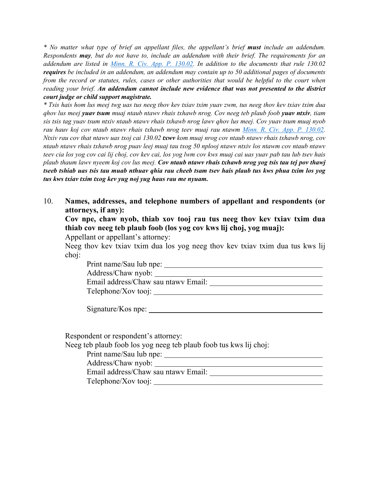*\* No matter what type of brief an appellant files, the appellant's brief must include an addendum. Respondents may, but do not have to, include an addendum with their brief. The requirements for an addendum are listed in [Minn. R. Civ. App. P. 130.02.](https://www.revisor.mn.gov/court_rules/ap/subtype/rcap/id/130/#130.02) In addition to the documents that rule 130.02 requires be included in an addendum, an addendum may contain up to 50 additional pages of documents from the record or statutes, rules, cases or other authorities that would be helpful to the court when reading your brief. An addendum cannot include new evidence that was not presented to the district court judge or child support magistrate.*

*\* Tsis hais hom lus meej twg uas tus neeg thov kev txiav txim yuav zwm, tus neeg thov kev txiav txim dua qhov lus meej yuav tsum muaj ntaub ntawv rhais txhawb nrog. Cov neeg teb plaub foob yuav ntxiv, tiam sis tsis tag yuav tsum ntxiv ntaub ntawv rhais txhawb nrog lawv qhov lus meej. Cov yuav tsum muaj nyob rau hauv koj cov ntaub ntawv rhais txhawb nrog teev muaj rau ntawm [Minn. R. Civ. App. P. 130.02.](https://www.revisor.mn.gov/court_rules/ap/subtype/rcap/id/130/#130.02)  Ntxiv rau cov that ntawv uas txoj cai 130.02 txwv kom muaj nrog cov ntaub ntawv rhais txhawb nrog, cov ntaub ntawv rhais txhawb nrog puav leej muaj tau txog 50 nplooj ntawv ntxiv los ntawm cov ntaub ntawv teev cia los yog cov cai lij choj, cov kev cai, los yog lwm cov kws muaj cai uas yuav pab tau lub tsev hais plaub thaum lawv nyeem koj cov lus meej. Cov ntaub ntawv rhais txhawb nrog yog tsis tau tej pov thawj tseeb tshiab uas tsis tau muab nthuav qhia rau cheeb tsam tsev hais plaub tus kws phua txim los yog tus kws txiav txim txog kev yug noj yug haus rau me nyuam.*

10. **Names, addresses, and telephone numbers of appellant and respondents (or attorneys, if any):**

**Cov npe, chaw nyob, thiab xov tooj rau tus neeg thov kev txiav txim dua thiab cov neeg teb plaub foob (los yog cov kws lij choj, yog muaj):**

Appellant or appellant's attorney:

Neeg thov kev txiav txim dua los yog neeg thov kev txiav txim dua tus kws lij choj:

Print name/Sau lub npe: Address/Chaw nyob: Email address/Chaw sau ntawv Email: Telephone/Xov tooj:

Signature/Kos npe:

Respondent or respondent's attorney:

Neeg teb plaub foob los yog neeg teb plaub foob tus kws lij choj:

Print name/Sau lub npe:

Address/Chaw nyob:

Email address/Chaw sau ntawv Email:

Telephone/Xov tooj: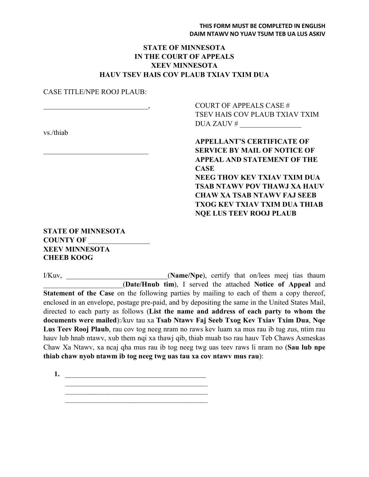#### **STATE OF MINNESOTA IN THE COURT OF APPEALS XEEV MINNESOTA HAUV TSEV HAIS COV PLAUB TXIAV TXIM DUA**

#### CASE TITLE/NPE ROOJ PLAUB:

vs./thiab

COURT OF APPEALS CASE # TSEV HAIS COV PLAUB TXIAV TXIM DUA ZAUV # \_\_\_\_\_\_\_\_\_\_\_\_\_\_\_\_\_

**APPELLANT'S CERTIFICATE OF** \_\_\_\_\_\_\_\_\_\_\_\_\_\_\_\_\_\_\_\_\_\_\_\_\_\_\_\_\_ **SERVICE BY MAIL OF NOTICE OF APPEAL AND STATEMENT OF THE CASE**

**NEEG THOV KEV TXIAV TXIM DUA TSAB NTAWV POV THAWJ XA HAUV CHAW XA TSAB NTAWV FAJ SEEB TXOG KEV TXIAV TXIM DUA THIAB NQE LUS TEEV ROOJ PLAUB**

#### **STATE OF MINNESOTA COUNTY OF** \_\_\_\_\_\_\_\_\_\_\_\_\_\_\_\_\_ **XEEV MINNESOTA CHEEB KOOG**

I/Kuv, **I/Kuv, (Name/Npe)**, certify that on/lees meej tias thaum \_\_\_\_\_\_\_\_\_\_\_\_\_\_\_\_\_\_\_\_\_\_(**Date/Hnub tim**), I served the attached **Notice of Appeal** and **Statement of the Case** on the following parties by mailing to each of them a copy thereof, enclosed in an envelope, postage pre-paid, and by depositing the same in the United States Mail, directed to each party as follows (**List the name and address of each party to whom the documents were mailed**):/kuv tau xa **Tsab Ntawv Faj Seeb Txog Kev Txiav Txim Dua**, **Nqe Lus Teev Rooj Plaub**, rau cov tog neeg nram no raws kev luam xa mus rau ib tug zus, ntim rau hauv lub hnab ntawv, xub them nqi xa thawj qib, thiab muab tso rau hauv Teb Chaws Asmeskas Chaw Xa Ntawv, xa ncaj qha mus rau ib tog neeg twg uas teev raws li nram no (**Sau lub npe thiab chaw nyob ntawm ib tog neeg twg uas tau xa cov ntawv mus rau**):

**1.**  $\blacksquare$ \_\_\_\_\_\_\_\_\_\_\_\_\_\_\_\_\_\_\_\_\_\_\_\_\_\_\_\_\_\_\_\_\_\_\_\_\_\_\_\_\_\_\_

 $\mathcal{L}_\text{max}$  , where  $\mathcal{L}_\text{max}$  , we have the set of  $\mathcal{L}_\text{max}$  $\mathcal{L}_\text{max}$  , where  $\mathcal{L}_\text{max}$  , we have the set of  $\mathcal{L}_\text{max}$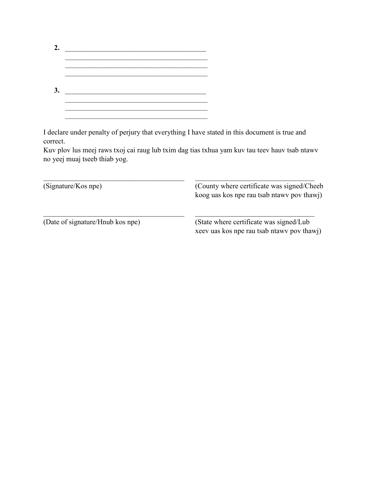| $\mathbf{2}$ |  |
|--------------|--|
|              |  |
|              |  |
| 3.           |  |
|              |  |
|              |  |

I declare under penalty of perjury that everything I have stated in this document is true and correct.

Kuv plov lus meej raws txoj cai raug lub txim dag tias txhua yam kuv tau teev hauv tsab ntawv no yeej muaj tseeb thiab yog.

| (Signature/Kos npe)              | (County where certificate was signed/Cheeb)<br>koog uas kos npe rau tsab ntawy pov thawj) |
|----------------------------------|-------------------------------------------------------------------------------------------|
| (Date of signature/Hnub kos npe) | (State where certificate was signed/Lub)<br>xeev uas kos npe rau tsab ntawy pov thawj)    |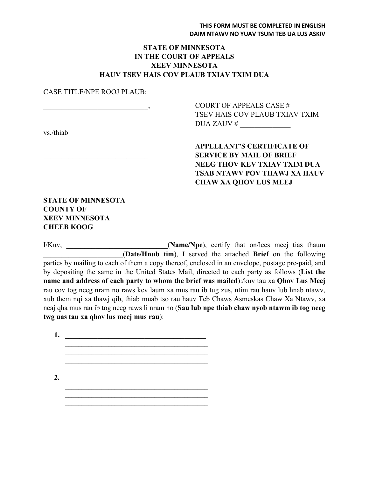#### **STATE OF MINNESOTA IN THE COURT OF APPEALS XEEV MINNESOTA HAUV TSEV HAIS COV PLAUB TXIAV TXIM DUA**

#### CASE TITLE/NPE ROOJ PLAUB:

vs./thiab

\_\_\_\_\_\_\_\_\_\_\_\_\_\_\_\_\_\_\_\_\_\_\_\_\_\_\_\_\_, COURT OF APPEALS CASE # TSEV HAIS COV PLAUB TXIAV TXIM DUA ZAUV # \_\_\_\_\_\_\_\_\_\_\_\_\_\_

> **APPELLANT'S CERTIFICATE OF** \_\_\_\_\_\_\_\_\_\_\_\_\_\_\_\_\_\_\_\_\_\_\_\_\_\_\_\_\_ **SERVICE BY MAIL OF BRIEF NEEG THOV KEV TXIAV TXIM DUA TSAB NTAWV POV THAWJ XA HAUV CHAW XA QHOV LUS MEEJ**

**STATE OF MINNESOTA COUNTY OF** \_\_\_\_\_\_\_\_\_\_\_\_\_\_\_\_\_ **XEEV MINNESOTA CHEEB KOOG**

I/Kuv, \_\_\_\_\_\_\_\_\_\_\_\_\_\_\_\_\_\_\_\_\_\_\_\_\_\_\_\_(**Name/Npe**), certify that on/lees meej tias thaum \_\_\_\_\_\_\_\_\_\_\_\_\_\_\_\_\_\_\_\_\_\_(**Date/Hnub tim**), I served the attached **Brief** on the following parties by mailing to each of them a copy thereof, enclosed in an envelope, postage pre-paid, and by depositing the same in the United States Mail, directed to each party as follows (**List the name and address of each party to whom the brief was mailed**):/kuv tau xa **Qhov Lus Meej** rau cov tog neeg nram no raws kev laum xa mus rau ib tug zus, ntim rau hauv lub hnab ntawv, xub them nqi xa thawj qib, thiab muab tso rau hauv Teb Chaws Asmeskas Chaw Xa Ntawv, xa ncaj qha mus rau ib tog neeg raws li nram no (**Sau lub npe thiab chaw nyob ntawm ib tog neeg twg uas tau xa qhov lus meej mus rau**):

**1.** \_\_\_\_\_\_\_\_\_\_\_\_\_\_\_\_\_\_\_\_\_\_\_\_\_\_\_\_\_\_\_\_\_\_\_\_\_\_\_ \_\_\_\_\_\_\_\_\_\_\_\_\_\_\_\_\_\_\_\_\_\_\_\_\_\_\_\_\_\_\_\_\_\_\_\_\_\_\_\_\_\_\_  $\mathcal{L}_\text{max}$  , where  $\mathcal{L}_\text{max}$  , we have the set of  $\mathcal{L}_\text{max}$ **2.** \_\_\_\_\_\_\_\_\_\_\_\_\_\_\_\_\_\_\_\_\_\_\_\_\_\_\_\_\_\_\_\_\_\_\_\_\_\_\_  $\mathcal{L}_\text{max}$  and the contract of the contract of the contract of the contract of the contract of the contract of the contract of the contract of the contract of the contract of the contract of the contract of the contrac  $\mathcal{L}_\text{max}$  , where  $\mathcal{L}_\text{max}$  , we have the set of  $\mathcal{L}_\text{max}$ \_\_\_\_\_\_\_\_\_\_\_\_\_\_\_\_\_\_\_\_\_\_\_\_\_\_\_\_\_\_\_\_\_\_\_\_\_\_\_\_\_\_\_